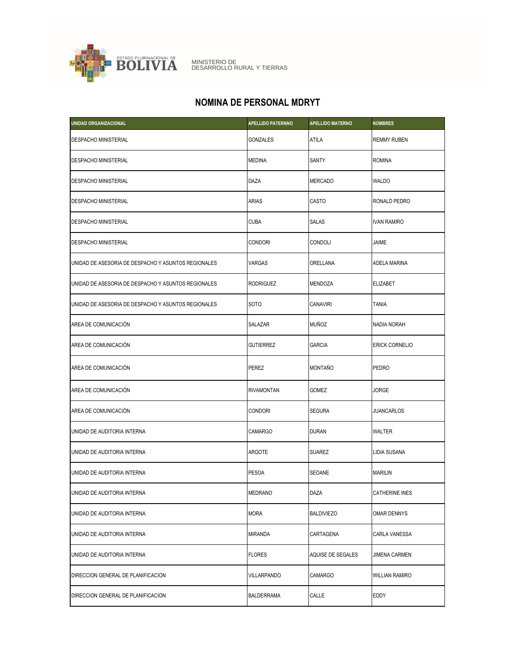

MINISTERIO DE DESARROLLO RURAL Y TIERRAS

## **NOMINA DE PERSONAL MDRYT**

| <b>UNIDAD ORGANIZACIONAL</b>                        | <b>APELLIDO PATERNNO</b> | <b>APELLIDO MATERNO</b> | <b>NOMBRES</b>        |
|-----------------------------------------------------|--------------------------|-------------------------|-----------------------|
| <b>DESPACHO MINISTERIAL</b>                         | GONZALES                 | <b>ATILA</b>            | <b>REMMY RUBEN</b>    |
| <b>DESPACHO MINISTERIAL</b>                         | <b>MEDINA</b>            | SANTY                   | <b>ROMINA</b>         |
| <b>DESPACHO MINISTERIAL</b>                         | <b>DAZA</b>              | <b>MERCADO</b>          | <b>WALDO</b>          |
| <b>DESPACHO MINISTERIAL</b>                         | <b>ARIAS</b>             | CASTO                   | RONALD PEDRO          |
| <b>DESPACHO MINISTERIAL</b>                         | <b>CUBA</b>              | <b>SALAS</b>            | <b>IVAN RAMIRO</b>    |
| <b>DESPACHO MINISTERIAL</b>                         | <b>CONDORI</b>           | CONDOLI                 | JAIME                 |
| UNIDAD DE ASESORIA DE DESPACHO Y ASUNTOS REGIONALES | <b>VARGAS</b>            | ORELLANA                | ADELA MARINA          |
| UNIDAD DE ASESORIA DE DESPACHO Y ASUNTOS REGIONALES | <b>RODRIGUEZ</b>         | MENDOZA                 | <b>ELIZABET</b>       |
| UNIDAD DE ASESORIA DE DESPACHO Y ASUNTOS REGIONALES | <b>SOTO</b>              | <b>CANAVIRI</b>         | <b>TANIA</b>          |
| AREA DE COMUNICACIÓN                                | SALAZAR                  | <b>MUÑOZ</b>            | NADIA NORAH           |
| AREA DE COMUNICACIÓN                                | <b>GUTIERREZ</b>         | <b>GARCIA</b>           | <b>ERICK CORNELIO</b> |
| AREA DE COMUNICACIÓN                                | <b>PEREZ</b>             | <b>MONTAÑO</b>          | PEDRO                 |
| AREA DE COMUNICACIÓN                                | RIVAMONTAN               | <b>GOMEZ</b>            | JORGE                 |
| AREA DE COMUNICACIÓN                                | <b>CONDORI</b>           | <b>SEGURA</b>           | JUANCARLOS            |
| UNIDAD DE AUDITORIA INTERNA                         | <b>CAMARGO</b>           | <b>DURAN</b>            | WALTER                |
| UNIDAD DE AUDITORIA INTERNA                         | ARGOTE                   | <b>SUAREZ</b>           | LIDIA SUSANA          |
| UNIDAD DE AUDITORIA INTERNA                         | <b>PESOA</b>             | <b>SEOANE</b>           | <b>MARILIN</b>        |
| UNIDAD DE AUDITORIA INTERNA                         | <b>MEDRANO</b>           | <b>DAZA</b>             | CATHERINE INES        |
| UNIDAD DE AUDITORIA INTERNA                         | <b>MORA</b>              | <b>BALDIVIEZO</b>       | <b>OMAR DENNYS</b>    |
| UNIDAD DE AUDITORIA INTERNA                         | <b>MIRANDA</b>           | CARTAGENA               | CARLA VANESSA         |
| UNIDAD DE AUDITORIA INTERNA                         | <b>FLORES</b>            | AQUISE DE SEGALES       | <b>JIMENA CARMEN</b>  |
| DIRECCION GENERAL DE PLANIFICACION                  | <b>VILLARPANDO</b>       | <b>CAMARGO</b>          | <b>WILLIAN RAMIRO</b> |
| DIRECCION GENERAL DE PLANIFICACION                  | <b>BALDERRAMA</b>        | CALLE                   | EDDY                  |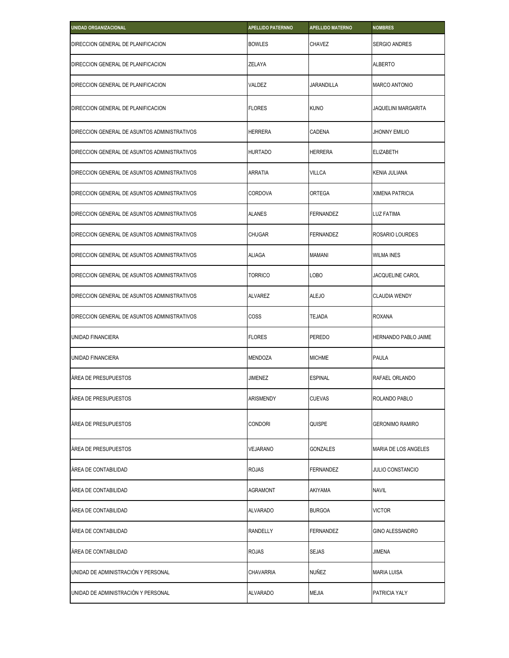| UNIDAD ORGANIZACIONAL                        | <b>APELLIDO PATERNNO</b> | <b>APELLIDO MATERNO</b> | <b>NOMBRES</b>          |
|----------------------------------------------|--------------------------|-------------------------|-------------------------|
| DIRECCION GENERAL DE PLANIFICACION           | <b>BOWLES</b>            | <b>CHAVEZ</b>           | <b>SERGIO ANDRES</b>    |
| DIRECCION GENERAL DE PLANIFICACION           | ZELAYA                   |                         | <b>ALBERTO</b>          |
| DIRECCION GENERAL DE PLANIFICACION           | VALDEZ                   | <b>JARANDILLA</b>       | <b>MARCO ANTONIO</b>    |
| DIRECCION GENERAL DE PLANIFICACION           | <b>FLORES</b>            | <b>KUNO</b>             | JAQUELINI MARGARITA     |
| DIRECCION GENERAL DE ASUNTOS ADMINISTRATIVOS | <b>HERRERA</b>           | CADENA                  | <b>JHONNY EMILIO</b>    |
| DIRECCION GENERAL DE ASUNTOS ADMINISTRATIVOS | <b>HURTADO</b>           | <b>HERRERA</b>          | <b>ELIZABETH</b>        |
| DIRECCION GENERAL DE ASUNTOS ADMINISTRATIVOS | ARRATIA                  | <b>VILLCA</b>           | KENIA JULIANA           |
| DIRECCION GENERAL DE ASUNTOS ADMINISTRATIVOS | <b>CORDOVA</b>           | <b>ORTEGA</b>           | XIMENA PATRICIA         |
| DIRECCION GENERAL DE ASUNTOS ADMINISTRATIVOS | <b>ALANES</b>            | <b>FERNANDEZ</b>        | LUZ FATIMA              |
| DIRECCION GENERAL DE ASUNTOS ADMINISTRATIVOS | <b>CHUGAR</b>            | FERNANDEZ               | ROSARIO LOURDES         |
| DIRECCION GENERAL DE ASUNTOS ADMINISTRATIVOS | <b>ALIAGA</b>            | MAMANI                  | <b>WILMA INES</b>       |
| DIRECCION GENERAL DE ASUNTOS ADMINISTRATIVOS | TORRICO                  | LOBO                    | JACQUELINE CAROL        |
| DIRECCION GENERAL DE ASUNTOS ADMINISTRATIVOS | <b>ALVAREZ</b>           | <b>ALEJO</b>            | <b>CLAUDIA WENDY</b>    |
| DIRECCION GENERAL DE ASUNTOS ADMINISTRATIVOS | COSS                     | <b>TEJADA</b>           | <b>ROXANA</b>           |
| UNIDAD FINANCIERA                            | <b>FLORES</b>            | <b>PEREDO</b>           | HERNANDO PABLO JAIME    |
| UNIDAD FINANCIERA                            | <b>MENDOZA</b>           | <b>MICHME</b>           | <b>PAULA</b>            |
| ÀREA DE PRESUPUESTOS                         | <b>JIMENEZ</b>           | <b>ESPINAL</b>          | RAFAEL ORLANDO          |
| ÁREA DE PRESUPUESTOS                         | <b>ARISMENDY</b>         | <b>CUEVAS</b>           | ROLANDO PABLO           |
| AREA DE PRESUPUESTOS                         | <b>CONDORI</b>           | <b>QUISPE</b>           | <b>GERONIMO RAMIRO</b>  |
| ÁREA DE PRESUPUESTOS                         | VEJARANO                 | GONZALES                | MARIA DE LOS ANGELES    |
| ÀREA DE CONTABILIDAD                         | <b>ROJAS</b>             | FERNANDEZ               | <b>JULIO CONSTANCIO</b> |
| ÀREA DE CONTABILIDAD                         | <b>AGRAMONT</b>          | AKIYAMA                 | <b>NAVIL</b>            |
| ÀREA DE CONTABILIDAD                         | <b>ALVARADO</b>          | <b>BURGOA</b>           | <b>VICTOR</b>           |
| AREA DE CONTABILIDAD                         | <b>RANDELLY</b>          | FERNANDEZ               | <b>GINO ALESSANDRO</b>  |
| ÀREA DE CONTABILIDAD                         | <b>ROJAS</b>             | <b>SEJAS</b>            | JIMENA                  |
| UNIDAD DE ADMINISTRACIÓN Y PERSONAL          | CHAVARRIA                | NUÑEZ                   | <b>MARIA LUISA</b>      |
| UNIDAD DE ADMINISTRACIÓN Y PERSONAL          | <b>ALVARADO</b>          | MEJIA                   | PATRICIA YALY           |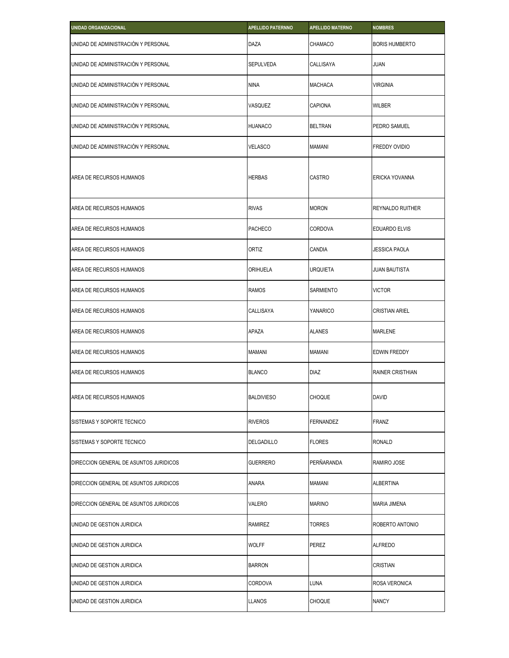| <b>UNIDAD ORGANIZACIONAL</b>           | <b>APELLIDO PATERNNO</b> | <b>APELLIDO MATERNO</b> | <b>NOMBRES</b>          |
|----------------------------------------|--------------------------|-------------------------|-------------------------|
| UNIDAD DE ADMINISTRACIÓN Y PERSONAL    | DAZA                     | CHAMACO                 | <b>BORIS HUMBERTO</b>   |
| UNIDAD DE ADMINISTRACIÓN Y PERSONAL    | SEPULVEDA                | CALLISAYA               | <b>JUAN</b>             |
| UNIDAD DE ADMINISTRACIÓN Y PERSONAL    | <b>NINA</b>              | MACHACA                 | <b>VIRGINIA</b>         |
| UNIDAD DE ADMINISTRACIÓN Y PERSONAL    | VASQUEZ                  | CAPIONA                 | WILBER                  |
| UNIDAD DE ADMINISTRACIÓN Y PERSONAL    | <b>HUANACO</b>           | <b>BELTRAN</b>          | PEDRO SAMUEL            |
| UNIDAD DE ADMINISTRACIÓN Y PERSONAL    | <b>VELASCO</b>           | <b>MAMANI</b>           | FREDDY OVIDIO           |
| AREA DE RECURSOS HUMANOS               | <b>HERBAS</b>            | CASTRO                  | ERICKA YOVANNA          |
| AREA DE RECURSOS HUMANOS               | <b>RIVAS</b>             | <b>MORON</b>            | REYNALDO RUITHER        |
| AREA DE RECURSOS HUMANOS               | <b>PACHECO</b>           | CORDOVA                 | EDUARDO ELVIS           |
| AREA DE RECURSOS HUMANOS               | <b>ORTIZ</b>             | CANDIA                  | <b>JESSICA PAOLA</b>    |
| AREA DE RECURSOS HUMANOS               | ORIHUELA                 | <b>URQUIETA</b>         | JUAN BAUTISTA           |
| AREA DE RECURSOS HUMANOS               | <b>RAMOS</b>             | SARMIENTO               | <b>VICTOR</b>           |
| AREA DE RECURSOS HUMANOS               | CALLISAYA                | YANARICO                | <b>CRISTIAN ARIEL</b>   |
| AREA DE RECURSOS HUMANOS               | APAZA                    | <b>ALANES</b>           | <b>MARLENE</b>          |
| AREA DE RECURSOS HUMANOS               | <b>MAMANI</b>            | <b>MAMANI</b>           | EDWIN FREDDY            |
| AREA DE RECURSOS HUMANOS               | <b>BLANCO</b>            | <b>DIAZ</b>             | <b>RAINER CRISTHIAN</b> |
| AREA DE RECURSOS HUMANOS               | <b>BALDIVIESO</b>        | CHOQUE                  | David                   |
| SISTEMAS Y SOPORTE TECNICO             | <b>RIVEROS</b>           | FERNANDEZ               | FRANZ                   |
| SISTEMAS Y SOPORTE TECNICO             | DELGADILLO               | <b>FLORES</b>           | <b>RONALD</b>           |
| DIRECCION GENERAL DE ASUNTOS JURIDICOS | <b>GUERRERO</b>          | PERÑARANDA              | RAMIRO JOSE             |
| DIRECCION GENERAL DE ASUNTOS JURIDICOS | ANARA                    | MAMANI                  | <b>ALBERTINA</b>        |
| DIRECCION GENERAL DE ASUNTOS JURIDICOS | VALERO                   | <b>MARINO</b>           | MARIA JIMENA            |
| UNIDAD DE GESTION JURIDICA             | RAMIREZ                  | <b>TORRES</b>           | ROBERTO ANTONIO         |
| UNIDAD DE GESTION JURIDICA             | <b>WOLFF</b>             | PEREZ                   | <b>ALFREDO</b>          |
| UNIDAD DE GESTION JURIDICA             | <b>BARRON</b>            |                         | CRISTIAN                |
| UNIDAD DE GESTION JURIDICA             | CORDOVA                  | LUNA                    | ROSA VERONICA           |
| UNIDAD DE GESTION JURIDICA             | <b>LLANOS</b>            | <b>CHOQUE</b>           | <b>NANCY</b>            |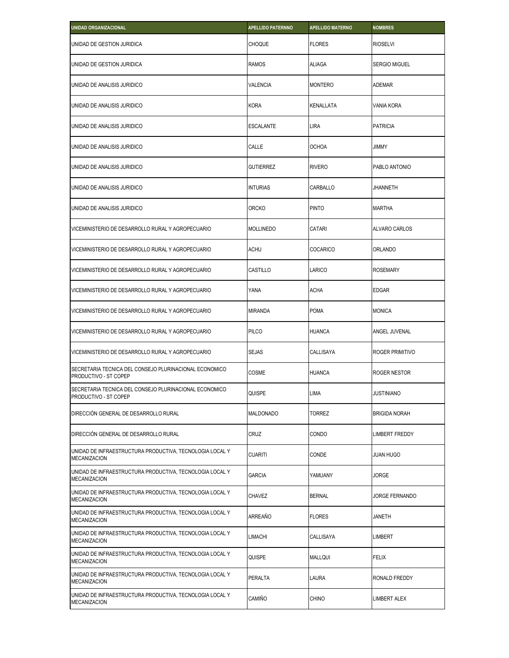| <b>UNIDAD ORGANIZACIONAL</b>                                                    | <b>APELLIDO PATERNNO</b> | <b>APELLIDO MATERNO</b> | <b>NOMBRES</b>       |
|---------------------------------------------------------------------------------|--------------------------|-------------------------|----------------------|
| UNIDAD DE GESTION JURIDICA                                                      | <b>CHOQUE</b>            | <b>FLORES</b>           | <b>RIOSELVI</b>      |
| UNIDAD DE GESTION JURIDICA                                                      | <b>RAMOS</b>             | <b>ALIAGA</b>           | <b>SERGIO MIGUEL</b> |
| UNIDAD DE ANALISIS JURIDICO                                                     | <b>VALENCIA</b>          | <b>MONTERO</b>          | <b>ADEMAR</b>        |
| UNIDAD DE ANALISIS JURIDICO                                                     | <b>KORA</b>              | KENALLATA               | VANIA KORA           |
| UNIDAD DE ANALISIS JURIDICO                                                     | <b>ESCALANTE</b>         | LIRA                    | <b>PATRICIA</b>      |
| UNIDAD DE ANALISIS JURIDICO                                                     | CALLE                    | <b>OCHOA</b>            | <b>JIMMY</b>         |
| UNIDAD DE ANALISIS JURIDICO                                                     | <b>GUTIERREZ</b>         | <b>RIVERO</b>           | PABLO ANTONIO        |
| UNIDAD DE ANALISIS JURIDICO                                                     | <b>INTURIAS</b>          | CARBALLO                | JHANNETH             |
| UNIDAD DE ANALISIS JURIDICO                                                     | <b>ORCKO</b>             | <b>PINTO</b>            | <b>MARTHA</b>        |
| VICEMINISTERIO DE DESARROLLO RURAL Y AGROPECUARIO                               | <b>MOLLINEDO</b>         | CATARI                  | ALVARO CARLOS        |
| VICEMINISTERIO DE DESARROLLO RURAL Y AGROPECUARIO                               | <b>ACHU</b>              | <b>COCARICO</b>         | <b>ORLANDO</b>       |
| VICEMINISTERIO DE DESARROLLO RURAL Y AGROPECUARIO                               | CASTILLO                 | LARICO                  | <b>ROSEMARY</b>      |
| VICEMINISTERIO DE DESARROLLO RURAL Y AGROPECUARIO                               | YANA                     | <b>ACHA</b>             | <b>EDGAR</b>         |
| VICEMINISTERIO DE DESARROLLO RURAL Y AGROPECUARIO                               | <b>MIRANDA</b>           | <b>POMA</b>             | <b>MONICA</b>        |
| VICEMINISTERIO DE DESARROLLO RURAL Y AGROPECUARIO                               | <b>PILCO</b>             | <b>HUANCA</b>           | ANGEL JUVENAL        |
| VICEMINISTERIO DE DESARROLLO RURAL Y AGROPECUARIO                               | <b>SEJAS</b>             | CALLISAYA               | ROGER PRIMITIVO      |
| SECRETARIA TECNICA DEL CONSEJO PLURINACIONAL ECONOMICO<br>PRODUCTIVO - ST COPEP | COSME                    | <b>HUANCA</b>           | ROGER NESTOR         |
| SECRETARIA TECNICA DEL CONSEJO PLURINACIONAL ECONOMICO<br>PRODUCTIVO - ST COPEP | <b>QUISPE</b>            | LIMA                    | JUSTINIANO           |
| DIRECCIÓN GENERAL DE DESARROLLO RURAL                                           | <b>MALDONADO</b>         | <b>TORREZ</b>           | <b>BRIGIDA NORAH</b> |
| DIRECCIÓN GENERAL DE DESARROLLO RURAL                                           | CRUZ                     | CONDO                   | LIMBERT FREDDY       |
| UNIDAD DE INFRAESTRUCTURA PRODUCTIVA, TECNOLOGIA LOCAL Y<br><b>MECANIZACION</b> | <b>CUARITI</b>           | CONDE                   | <b>JUAN HUGO</b>     |
| UNIDAD DE INFRAESTRUCTURA PRODUCTIVA, TECNOLOGIA LOCAL Y<br><b>MECANIZACION</b> | <b>GARCIA</b>            | YAMUANY                 | <b>JORGE</b>         |
| UNIDAD DE INFRAESTRUCTURA PRODUCTIVA, TECNOLOGIA LOCAL Y<br><b>MECANIZACION</b> | CHAVEZ                   | <b>BERNAL</b>           | JORGE FERNANDO       |
| UNIDAD DE INFRAESTRUCTURA PRODUCTIVA, TECNOLOGIA LOCAL Y<br><b>MECANIZACION</b> | ARREAÑO                  | <b>FLORES</b>           | <b>JANETH</b>        |
| UNIDAD DE INFRAESTRUCTURA PRODUCTIVA, TECNOLOGIA LOCAL Y<br><b>MECANIZACION</b> | LIMACHI                  | CALLISAYA               | LIMBERT              |
| UNIDAD DE INFRAESTRUCTURA PRODUCTIVA, TECNOLOGIA LOCAL Y<br><b>MECANIZACION</b> | QUISPE                   | MALLQUI                 | <b>FELIX</b>         |
| UNIDAD DE INFRAESTRUCTURA PRODUCTIVA, TECNOLOGIA LOCAL Y<br><b>MECANIZACION</b> | PERALTA                  | LAURA                   | RONALD FREDDY        |
| UNIDAD DE INFRAESTRUCTURA PRODUCTIVA, TECNOLOGIA LOCAL Y<br><b>MECANIZACION</b> | CAMIÑO                   | <b>CHINO</b>            | LIMBERT ALEX         |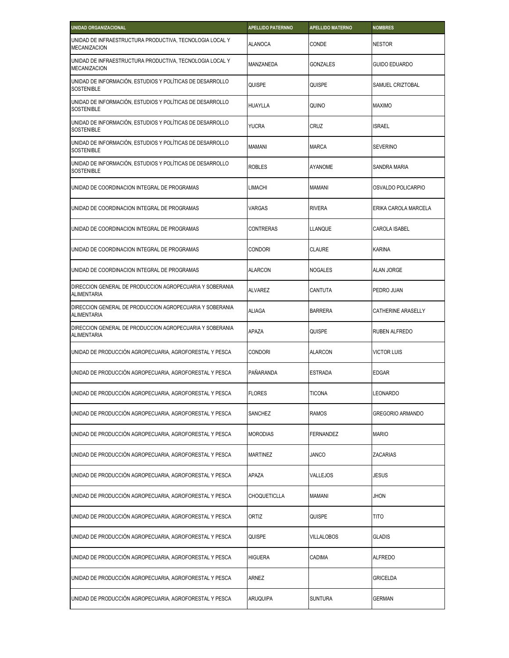| <b>UNIDAD ORGANIZACIONAL</b>                                                    | <b>APELLIDO PATERNNO</b> | <b>APELLIDO MATERNO</b> | <b>NOMBRES</b>       |
|---------------------------------------------------------------------------------|--------------------------|-------------------------|----------------------|
| UNIDAD DE INFRAESTRUCTURA PRODUCTIVA, TECNOLOGIA LOCAL Y<br><b>MECANIZACION</b> | <b>ALANOCA</b>           | CONDE                   | <b>NESTOR</b>        |
| UNIDAD DE INFRAESTRUCTURA PRODUCTIVA, TECNOLOGIA LOCAL Y<br><b>MECANIZACION</b> | MANZANEDA                | <b>GONZALES</b>         | <b>GUIDO EDUARDO</b> |
| UNIDAD DE INFORMACIÓN, ESTUDIOS Y POLÍTICAS DE DESARROLLO<br><b>SOSTENIBLE</b>  | QUISPE                   | QUISPE                  | SAMUEL CRIZTOBAL     |
| UNIDAD DE INFORMACIÓN, ESTUDIOS Y POLÍTICAS DE DESARROLLO<br><b>SOSTENIBLE</b>  | <b>HUAYLLA</b>           | QUINO                   | <b>MAXIMO</b>        |
| UNIDAD DE INFORMACIÓN, ESTUDIOS Y POLÍTICAS DE DESARROLLO<br><b>SOSTENIBLE</b>  | <b>YUCRA</b>             | CRUZ                    | <b>ISRAEL</b>        |
| UNIDAD DE INFORMACIÓN, ESTUDIOS Y POLÍTICAS DE DESARROLLO<br><b>SOSTENIBLE</b>  | <b>MAMANI</b>            | <b>MARCA</b>            | <b>SEVERINO</b>      |
| UNIDAD DE INFORMACIÓN, ESTUDIOS Y POLÍTICAS DE DESARROLLO<br><b>SOSTENIBLE</b>  | <b>ROBLES</b>            | AYANOME                 | SANDRA MARIA         |
| UNIDAD DE COORDINACION INTEGRAL DE PROGRAMAS                                    | <b>LIMACHI</b>           | MAMANI                  | OSVALDO POLICARPIO   |
| UNIDAD DE COORDINACION INTEGRAL DE PROGRAMAS                                    | VARGAS                   | <b>RIVERA</b>           | ERIKA CAROLA MARCELA |
| UNIDAD DE COORDINACION INTEGRAL DE PROGRAMAS                                    | <b>CONTRERAS</b>         | LLANQUE                 | CAROLA ISABEL        |
| UNIDAD DE COORDINACION INTEGRAL DE PROGRAMAS                                    | <b>CONDORI</b>           | <b>CLAURE</b>           | <b>KARINA</b>        |
| UNIDAD DE COORDINACION INTEGRAL DE PROGRAMAS                                    | <b>ALARCON</b>           | <b>NOGALES</b>          | <b>ALAN JORGE</b>    |
| DIRECCION GENERAL DE PRODUCCION AGROPECUARIA Y SOBERANIA<br><b>ALIMENTARIA</b>  | <b>ALVAREZ</b>           | CANTUTA                 | PEDRO JUAN           |
| DIRECCION GENERAL DE PRODUCCION AGROPECUARIA Y SOBERANIA<br><b>ALIMENTARIA</b>  | <b>ALIAGA</b>            | <b>BARRERA</b>          | CATHERINE ARASELLY   |
| DIRECCION GENERAL DE PRODUCCION AGROPECUARIA Y SOBERANIA<br><b>ALIMENTARIA</b>  | APAZA                    | QUISPE                  | RUBEN ALFREDO        |
| UNIDAD DE PRODUCCIÓN AGROPECUARIA, AGROFORESTAL Y PESCA                         | <b>CONDORI</b>           | <b>ALARCON</b>          | <b>VICTOR LUIS</b>   |
| UNIDAD DE PRODUCCIÓN AGROPECUARIA, AGROFORESTAL Y PESCA                         | PAÑARANDA                | ESTRADA                 | EDGAR                |
| UNIDAD DE PRODUCCIÓN AGROPECUARIA, AGROFORESTAL Y PESCA                         | <b>FLORES</b>            | <b>TICONA</b>           | LEONARDO             |
| UNIDAD DE PRODUCCIÓN AGROPECUARIA, AGROFORESTAL Y PESCA                         | SANCHEZ                  | <b>RAMOS</b>            | GREGORIO ARMANDO     |
| UNIDAD DE PRODUCCIÓN AGROPECUARIA, AGROFORESTAL Y PESCA                         | <b>MORODIAS</b>          | <b>FERNANDEZ</b>        | <b>MARIO</b>         |
| UNIDAD DE PRODUCCIÓN AGROPECUARIA, AGROFORESTAL Y PESCA                         | <b>MARTINEZ</b>          | JANCO                   | ZACARIAS             |
| UNIDAD DE PRODUCCIÓN AGROPECUARIA, AGROFORESTAL Y PESCA                         | APAZA                    | VALLEJOS                | JESUS                |
| UNIDAD DE PRODUCCIÓN AGROPECUARIA, AGROFORESTAL Y PESCA                         | CHOQUETICLLA             | <b>MAMANI</b>           | Jhon                 |
| UNIDAD DE PRODUCCIÓN AGROPECUARIA, AGROFORESTAL Y PESCA                         | ORTIZ                    | QUISPE                  | TITO                 |
| UNIDAD DE PRODUCCIÓN AGROPECUARIA, AGROFORESTAL Y PESCA                         | QUISPE                   | VILLALOBOS              | GLADIS               |
| UNIDAD DE PRODUCCIÓN AGROPECUARIA, AGROFORESTAL Y PESCA                         | <b>HIGUERA</b>           | CADIMA                  | <b>ALFREDO</b>       |
| UNIDAD DE PRODUCCIÓN AGROPECUARIA, AGROFORESTAL Y PESCA                         | ARNEZ                    |                         | GRICELDA             |
| UNIDAD DE PRODUCCIÓN AGROPECUARIA, AGROFORESTAL Y PESCA                         | <b>ARUQUIPA</b>          | <b>SUNTURA</b>          | GERMAN               |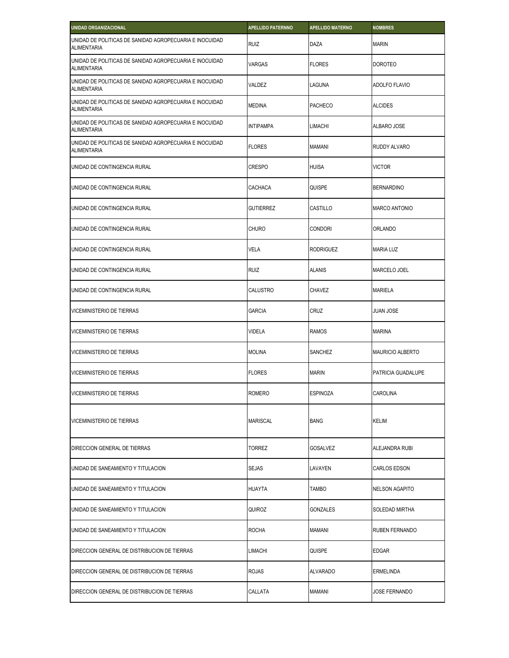| UNIDAD ORGANIZACIONAL                                                         | <b>APELLIDO PATERNNO</b> | <b>APELLIDO MATERNO</b> | <b>NOMBRES</b>        |
|-------------------------------------------------------------------------------|--------------------------|-------------------------|-----------------------|
| UNIDAD DE POLITICAS DE SANIDAD AGROPECUARIA E INOCUIDAD<br><b>ALIMENTARIA</b> | <b>RUIZ</b>              | DAZA                    | <b>MARIN</b>          |
| UNIDAD DE POLITICAS DE SANIDAD AGROPECUARIA E INOCUIDAD<br><b>ALIMENTARIA</b> | VARGAS                   | <b>FLORES</b>           | <b>DOROTEO</b>        |
| UNIDAD DE POLITICAS DE SANIDAD AGROPECUARIA E INOCUIDAD<br><b>ALIMENTARIA</b> | VALDEZ                   | LAGUNA                  | ADOLFO FLAVIO         |
| UNIDAD DE POLITICAS DE SANIDAD AGROPECUARIA E INOCUIDAD<br><b>ALIMENTARIA</b> | <b>MEDINA</b>            | <b>PACHECO</b>          | <b>ALCIDES</b>        |
| UNIDAD DE POLITICAS DE SANIDAD AGROPECUARIA E INOCUIDAD<br><b>ALIMENTARIA</b> | <b>INTIPAMPA</b>         | <b>LIMACHI</b>          | ALBARO JOSE           |
| UNIDAD DE POLITICAS DE SANIDAD AGROPECUARIA E INOCUIDAD<br><b>ALIMENTARIA</b> | <b>FLORES</b>            | <b>MAMANI</b>           | RUDDY ALVARO          |
| UNIDAD DE CONTINGENCIA RURAL                                                  | <b>CRESPO</b>            | <b>HUISA</b>            | <b>VICTOR</b>         |
| UNIDAD DE CONTINGENCIA RURAL                                                  | CACHACA                  | QUISPE                  | <b>BERNARDINO</b>     |
| UNIDAD DE CONTINGENCIA RURAL                                                  | <b>GUTIERREZ</b>         | CASTILLO                | <b>MARCO ANTONIO</b>  |
| UNIDAD DE CONTINGENCIA RURAL                                                  | <b>CHURO</b>             | CONDORI                 | ORLANDO               |
| UNIDAD DE CONTINGENCIA RURAL                                                  | <b>VELA</b>              | RODRIGUEZ               | <b>MARIA LUZ</b>      |
| UNIDAD DE CONTINGENCIA RURAL                                                  | <b>RUIZ</b>              | <b>ALANIS</b>           | MARCELO JOEL          |
| UNIDAD DE CONTINGENCIA RURAL                                                  | <b>CALUSTRO</b>          | CHAVEZ                  | MARIELA               |
| <b>VICEMINISTERIO DE TIERRAS</b>                                              | <b>GARCIA</b>            | CRUZ                    | JUAN JOSE             |
| <b>VICEMINISTERIO DE TIERRAS</b>                                              | <b>VIDELA</b>            | <b>RAMOS</b>            | <b>MARINA</b>         |
| <b>VICEMINISTERIO DE TIERRAS</b>                                              | <b>MOLINA</b>            | SANCHEZ                 | MAURICIO ALBERTO      |
| VICEMINISTERIO DE TIERRAS                                                     | <b>FLORES</b>            | <b>MARIN</b>            | PATRICIA GUADALUPE    |
| <b>VICEMINISTERIO DE TIERRAS</b>                                              | <b>ROMERO</b>            | <b>ESPINOZA</b>         | CAROLINA              |
| <b>VICEMINISTERIO DE TIERRAS</b>                                              | <b>MARISCAL</b>          | <b>BANG</b>             | <b>KELIM</b>          |
| DIRECCION GENERAL DE TIERRAS                                                  | <b>TORREZ</b>            | <b>GOSALVEZ</b>         | ALEJANDRA RUBI        |
| UNIDAD DE SANEAMIENTO Y TITULACION                                            | <b>SEJAS</b>             | LAVAYEN                 | <b>CARLOS EDSON</b>   |
| UNIDAD DE SANEAMIENTO Y TITULACION                                            | <b>HUAYTA</b>            | <b>TAMBO</b>            | <b>NELSON AGAPITO</b> |
| UNIDAD DE SANEAMIENTO Y TITULACION                                            | <b>QUIROZ</b>            | GONZALES                | SOLEDAD MIRTHA        |
| UNIDAD DE SANEAMIENTO Y TITULACION                                            | <b>ROCHA</b>             | <b>MAMANI</b>           | RUBEN FERNANDO        |
| DIRECCION GENERAL DE DISTRIBUCION DE TIERRAS                                  | <b>LIMACHI</b>           | QUISPE                  | <b>EDGAR</b>          |
| DIRECCION GENERAL DE DISTRIBUCION DE TIERRAS                                  | <b>ROJAS</b>             | <b>ALVARADO</b>         | ERMELINDA             |
| DIRECCION GENERAL DE DISTRIBUCION DE TIERRAS                                  | CALLATA                  | MAMANI                  | JOSE FERNANDO         |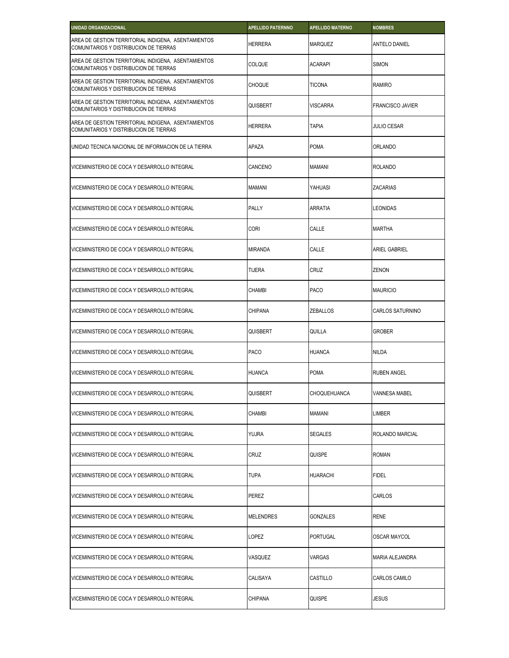| UNIDAD ORGANIZACIONAL                                                                         | <b>APELLIDO PATERNNO</b> | <b>APELLIDO MATERNO</b> | <b>NOMBRES</b>          |
|-----------------------------------------------------------------------------------------------|--------------------------|-------------------------|-------------------------|
| AREA DE GESTION TERRITORIAL INDIGENA, ASENTAMIENTOS<br>COMUNITARIOS Y DISTRIBUCION DE TIERRAS | <b>HERRERA</b>           | MARQUEZ                 | ANTELO DANIEL           |
| AREA DE GESTION TERRITORIAL INDIGENA, ASENTAMIENTOS<br>COMUNITARIOS Y DISTRIBUCION DE TIERRAS | <b>COLQUE</b>            | <b>ACARAPI</b>          | <b>SIMON</b>            |
| AREA DE GESTION TERRITORIAL INDIGENA, ASENTAMIENTOS<br>COMUNITARIOS Y DISTRIBUCION DE TIERRAS | <b>CHOQUE</b>            | <b>TICONA</b>           | RAMIRO                  |
| AREA DE GESTION TERRITORIAL INDIGENA, ASENTAMIENTOS<br>COMUNITARIOS Y DISTRIBUCION DE TIERRAS | QUISBERT                 | <b>VISCARRA</b>         | <b>FRANCISCO JAVIER</b> |
| AREA DE GESTION TERRITORIAL INDIGENA, ASENTAMIENTOS<br>COMUNITARIOS Y DISTRIBUCION DE TIERRAS | <b>HERRERA</b>           | <b>TAPIA</b>            | <b>JULIO CESAR</b>      |
| UNIDAD TECNICA NACIONAL DE INFORMACION DE LA TIERRA                                           | APAZA                    | <b>POMA</b>             | ORLANDO                 |
| VICEMINISTERIO DE COCA Y DESARROLLO INTEGRAL                                                  | CANCENO                  | <b>MAMANI</b>           | <b>ROLANDO</b>          |
| VICEMINISTERIO DE COCA Y DESARROLLO INTEGRAL                                                  | <b>MAMANI</b>            | YAHUASI                 | ZACARIAS                |
| VICEMINISTERIO DE COCA Y DESARROLLO INTEGRAL                                                  | PALLY                    | ARRATIA                 | LEONIDAS                |
| VICEMINISTERIO DE COCA Y DESARROLLO INTEGRAL                                                  | <b>CORI</b>              | CALLE                   | <b>MARTHA</b>           |
| VICEMINISTERIO DE COCA Y DESARROLLO INTEGRAL                                                  | <b>MIRANDA</b>           | CALLE                   | ARIEL GABRIEL           |
| VICEMINISTERIO DE COCA Y DESARROLLO INTEGRAL                                                  | <b>TIJERA</b>            | CRUZ                    | ZENON                   |
| VICEMINISTERIO DE COCA Y DESARROLLO INTEGRAL                                                  | <b>CHAMBI</b>            | <b>PACO</b>             | <b>MAURICIO</b>         |
| VICEMINISTERIO DE COCA Y DESARROLLO INTEGRAL                                                  | <b>CHIPANA</b>           | <b>ZEBALLOS</b>         | CARLOS SATURNINO        |
| VICEMINISTERIO DE COCA Y DESARROLLO INTEGRAL                                                  | QUISBERT                 | QUILLA                  | <b>GROBER</b>           |
| VICEMINISTERIO DE COCA Y DESARROLLO INTEGRAL                                                  | <b>PACO</b>              | <b>HUANCA</b>           | <b>NILDA</b>            |
| VICEMINISTERIO DE COCA Y DESARROLLO INTEGRAL                                                  | <b>HUANCA</b>            | <b>POMA</b>             | <b>RUBEN ANGEL</b>      |
| VICEMINISTERIO DE COCA Y DESARROLLO INTEGRAL                                                  | <b>QUISBERT</b>          | <b>CHOQUEHUANCA</b>     | VANNESA MABEL           |
| VICEMINISTERIO DE COCA Y DESARROLLO INTEGRAL                                                  | <b>CHAMBI</b>            | <b>MAMANI</b>           | LIMBER                  |
| VICEMINISTERIO DE COCA Y DESARROLLO INTEGRAL                                                  | YUJRA                    | SEGALES                 | ROLANDO MARCIAL         |
| VICEMINISTERIO DE COCA Y DESARROLLO INTEGRAL                                                  | CRUZ                     | QUISPE                  | <b>ROMAN</b>            |
| VICEMINISTERIO DE COCA Y DESARROLLO INTEGRAL                                                  | TUPA                     | HUARACHI                | FIDEL                   |
| VICEMINISTERIO DE COCA Y DESARROLLO INTEGRAL                                                  | PEREZ                    |                         | CARLOS                  |
| VICEMINISTERIO DE COCA Y DESARROLLO INTEGRAL                                                  | <b>MELENDRES</b>         | GONZALES                | <b>RENE</b>             |
| VICEMINISTERIO DE COCA Y DESARROLLO INTEGRAL                                                  | LOPEZ                    | PORTUGAL                | OSCAR MAYCOL            |
| VICEMINISTERIO DE COCA Y DESARROLLO INTEGRAL                                                  | VASQUEZ                  | VARGAS                  | MARIA ALEJANDRA         |
| VICEMINISTERIO DE COCA Y DESARROLLO INTEGRAL                                                  | CALISAYA                 | CASTILLO                | CARLOS CAMILO           |
| VICEMINISTERIO DE COCA Y DESARROLLO INTEGRAL                                                  | CHIPANA                  | QUISPE                  | JESUS                   |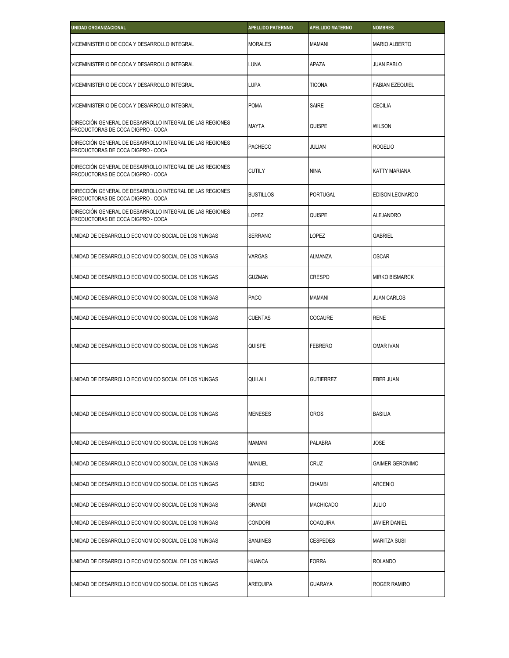| <b>UNIDAD ORGANIZACIONAL</b>                                                                  | <b>APELLIDO PATERNNO</b> | <b>APELLIDO MATERNO</b> | <b>NOMBRES</b>         |
|-----------------------------------------------------------------------------------------------|--------------------------|-------------------------|------------------------|
| VICEMINISTERIO DE COCA Y DESARROLLO INTEGRAL                                                  | <b>MORALES</b>           | <b>MAMANI</b>           | <b>MARIO ALBERTO</b>   |
| VICEMINISTERIO DE COCA Y DESARROLLO INTEGRAL                                                  | <b>LUNA</b>              | APAZA                   | <b>JUAN PABLO</b>      |
| VICEMINISTERIO DE COCA Y DESARROLLO INTEGRAL                                                  | <b>LUPA</b>              | <b>TICONA</b>           | <b>FABIAN EZEQUIEL</b> |
| VICEMINISTERIO DE COCA Y DESARROLLO INTEGRAL                                                  | <b>POMA</b>              | <b>SAIRE</b>            | <b>CECILIA</b>         |
| DIRECCIÓN GENERAL DE DESARROLLO INTEGRAL DE LAS REGIONES<br>PRODUCTORAS DE COCA DIGPRO - COCA | <b>MAYTA</b>             | QUISPE                  | <b>WILSON</b>          |
| DIRECCIÓN GENERAL DE DESARROLLO INTEGRAL DE LAS REGIONES<br>PRODUCTORAS DE COCA DIGPRO - COCA | <b>PACHECO</b>           | JULIAN                  | <b>ROGELIO</b>         |
| DIRECCIÓN GENERAL DE DESARROLLO INTEGRAL DE LAS REGIONES<br>PRODUCTORAS DE COCA DIGPRO - COCA | <b>CUTILY</b>            | <b>NINA</b>             | KATTY MARIANA          |
| DIRECCIÓN GENERAL DE DESARROLLO INTEGRAL DE LAS REGIONES<br>PRODUCTORAS DE COCA DIGPRO - COCA | <b>BUSTILLOS</b>         | PORTUGAL                | EDISON LEONARDO        |
| DIRECCIÓN GENERAL DE DESARROLLO INTEGRAL DE LAS REGIONES<br>PRODUCTORAS DE COCA DIGPRO - COCA | LOPEZ                    | QUISPE                  | <b>ALEJANDRO</b>       |
| UNIDAD DE DESARROLLO ECONOMICO SOCIAL DE LOS YUNGAS                                           | <b>SERRANO</b>           | <b>LOPEZ</b>            | <b>GABRIEL</b>         |
| UNIDAD DE DESARROLLO ECONOMICO SOCIAL DE LOS YUNGAS                                           | <b>VARGAS</b>            | ALMANZA                 | <b>OSCAR</b>           |
| UNIDAD DE DESARROLLO ECONOMICO SOCIAL DE LOS YUNGAS                                           | <b>GUZMAN</b>            | <b>CRESPO</b>           | <b>MIRKO BISMARCK</b>  |
| UNIDAD DE DESARROLLO ECONOMICO SOCIAL DE LOS YUNGAS                                           | <b>PACO</b>              | MAMANI                  | JUAN CARLOS            |
| UNIDAD DE DESARROLLO ECONOMICO SOCIAL DE LOS YUNGAS                                           | <b>CUENTAS</b>           | <b>COCAURE</b>          | <b>RENE</b>            |
| UNIDAD DE DESARROLLO ECONOMICO SOCIAL DE LOS YUNGAS                                           | QUISPE                   | <b>FEBRERO</b>          | <b>OMAR IVAN</b>       |
| UNIDAD DE DESARROLLO ECONOMICO SOCIAL DE LOS YUNGAS                                           | QUILALI                  | <b>GUTIERREZ</b>        | EBER JUAN              |
| UNIDAD DE DESARROLLO ECONOMICO SOCIAL DE LOS YUNGAS                                           | <b>MENESES</b>           | <b>OROS</b>             | <b>BASILIA</b>         |
| UNIDAD DE DESARROLLO ECONOMICO SOCIAL DE LOS YUNGAS                                           | <b>MAMANI</b>            | <b>PALABRA</b>          | JOSE                   |
| UNIDAD DE DESARROLLO ECONOMICO SOCIAL DE LOS YUNGAS                                           | <b>MANUEL</b>            | CRUZ                    | GAIMER GERONIMO        |
| UNIDAD DE DESARROLLO ECONOMICO SOCIAL DE LOS YUNGAS                                           | <b>ISIDRO</b>            | CHAMBI                  | <b>ARCENIO</b>         |
| UNIDAD DE DESARROLLO ECONOMICO SOCIAL DE LOS YUNGAS                                           | <b>GRANDI</b>            | <b>MACHICADO</b>        | JULIO                  |
| UNIDAD DE DESARROLLO ECONOMICO SOCIAL DE LOS YUNGAS                                           | <b>CONDORI</b>           | COAQUIRA                | JAVIER DANIEL          |
| UNIDAD DE DESARROLLO ECONOMICO SOCIAL DE LOS YUNGAS                                           | <b>SANJINES</b>          | <b>CESPEDES</b>         | <b>MARITZA SUSI</b>    |
| UNIDAD DE DESARROLLO ECONOMICO SOCIAL DE LOS YUNGAS                                           | <b>HUANCA</b>            | <b>FORRA</b>            | <b>ROLANDO</b>         |
| UNIDAD DE DESARROLLO ECONOMICO SOCIAL DE LOS YUNGAS                                           | AREQUIPA                 | <b>GUARAYA</b>          | ROGER RAMIRO           |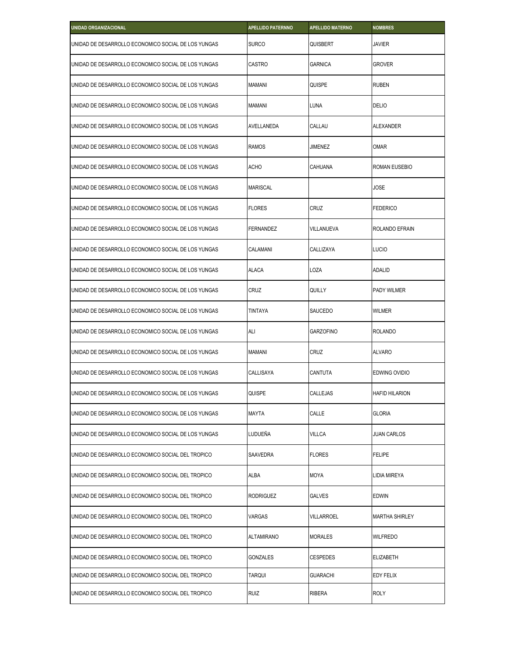| <b>UNIDAD ORGANIZACIONAL</b>                        | <b>APELLIDO PATERNNO</b> | <b>APELLIDO MATERNO</b> | <b>NOMBRES</b>        |
|-----------------------------------------------------|--------------------------|-------------------------|-----------------------|
| UNIDAD DE DESARROLLO ECONOMICO SOCIAL DE LOS YUNGAS | <b>SURCO</b>             | QUISBERT                | JAVIER                |
| UNIDAD DE DESARROLLO ECONOMICO SOCIAL DE LOS YUNGAS | CASTRO                   | GARNICA                 | GROVER                |
| UNIDAD DE DESARROLLO ECONOMICO SOCIAL DE LOS YUNGAS | <b>MAMANI</b>            | QUISPE                  | <b>RUBEN</b>          |
| UNIDAD DE DESARROLLO ECONOMICO SOCIAL DE LOS YUNGAS | <b>MAMANI</b>            | LUNA                    | <b>DELIO</b>          |
| UNIDAD DE DESARROLLO ECONOMICO SOCIAL DE LOS YUNGAS | AVELLANEDA               | CALLAU                  | <b>ALEXANDER</b>      |
| UNIDAD DE DESARROLLO ECONOMICO SOCIAL DE LOS YUNGAS | <b>RAMOS</b>             | JIMENEZ                 | <b>OMAR</b>           |
| UNIDAD DE DESARROLLO ECONOMICO SOCIAL DE LOS YUNGAS | <b>ACHO</b>              | CAHUANA                 | ROMAN EUSEBIO         |
| UNIDAD DE DESARROLLO ECONOMICO SOCIAL DE LOS YUNGAS | <b>MARISCAL</b>          |                         | <b>JOSE</b>           |
| UNIDAD DE DESARROLLO ECONOMICO SOCIAL DE LOS YUNGAS | <b>FLORES</b>            | CRUZ                    | <b>FEDERICO</b>       |
| UNIDAD DE DESARROLLO ECONOMICO SOCIAL DE LOS YUNGAS | FERNANDEZ                | VILLANUEVA              | ROLANDO EFRAIN        |
| UNIDAD DE DESARROLLO ECONOMICO SOCIAL DE LOS YUNGAS | CALAMANI                 | CALLIZAYA               | Lucio                 |
| UNIDAD DE DESARROLLO ECONOMICO SOCIAL DE LOS YUNGAS | <b>ALACA</b>             | LOZA                    | <b>ADALID</b>         |
| UNIDAD DE DESARROLLO ECONOMICO SOCIAL DE LOS YUNGAS | CRUZ                     | QUILLY                  | PADY WILMER           |
| UNIDAD DE DESARROLLO ECONOMICO SOCIAL DE LOS YUNGAS | <b>TINTAYA</b>           | SAUCEDO                 | WILMER                |
| UNIDAD DE DESARROLLO ECONOMICO SOCIAL DE LOS YUNGAS | ALI                      | <b>GARZOFINO</b>        | <b>ROLANDO</b>        |
| UNIDAD DE DESARROLLO ECONOMICO SOCIAL DE LOS YUNGAS | <b>MAMANI</b>            | CRUZ                    | <b>ALVARO</b>         |
| UNIDAD DE DESARROLLO ECONOMICO SOCIAL DE LOS YUNGAS | CALLISAYA                | CANTUTA                 | EDWING OVIDIO         |
| UNIDAD DE DESARROLLO ECONOMICO SOCIAL DE LOS YUNGAS | QUISPE                   | <b>CALLEJAS</b>         | <b>HAFID HILARION</b> |
| UNIDAD DE DESARROLLO ECONOMICO SOCIAL DE LOS YUNGAS | <b>MAYTA</b>             | CALLE                   | GLORIA                |
| UNIDAD DE DESARROLLO ECONOMICO SOCIAL DE LOS YUNGAS | LUDUEÑA                  | VILLCA                  | JUAN CARLOS           |
| UNIDAD DE DESARROLLO ECONOMICO SOCIAL DEL TROPICO   | SAAVEDRA                 | <b>FLORES</b>           | FELIPE                |
| UNIDAD DE DESARROLLO ECONOMICO SOCIAL DEL TROPICO   | ALBA                     | <b>MOYA</b>             | LIDIA MIREYA          |
| UNIDAD DE DESARROLLO ECONOMICO SOCIAL DEL TROPICO   | <b>RODRIGUEZ</b>         | <b>GALVES</b>           | edwin                 |
| UNIDAD DE DESARROLLO ECONOMICO SOCIAL DEL TROPICO   | <b>VARGAS</b>            | VILLARROEL              | <b>MARTHA SHIRLEY</b> |
| UNIDAD DE DESARROLLO ECONOMICO SOCIAL DEL TROPICO   | <b>ALTAMIRANO</b>        | <b>MORALES</b>          | WILFREDO              |
| UNIDAD DE DESARROLLO ECONOMICO SOCIAL DEL TROPICO   | <b>GONZALES</b>          | <b>CESPEDES</b>         | ELIZABETH             |
| UNIDAD DE DESARROLLO ECONOMICO SOCIAL DEL TROPICO   | <b>TARQUI</b>            | <b>GUARACHI</b>         | EDY FELIX             |
| UNIDAD DE DESARROLLO ECONOMICO SOCIAL DEL TROPICO   | <b>RUIZ</b>              | <b>RIBERA</b>           | ROLY                  |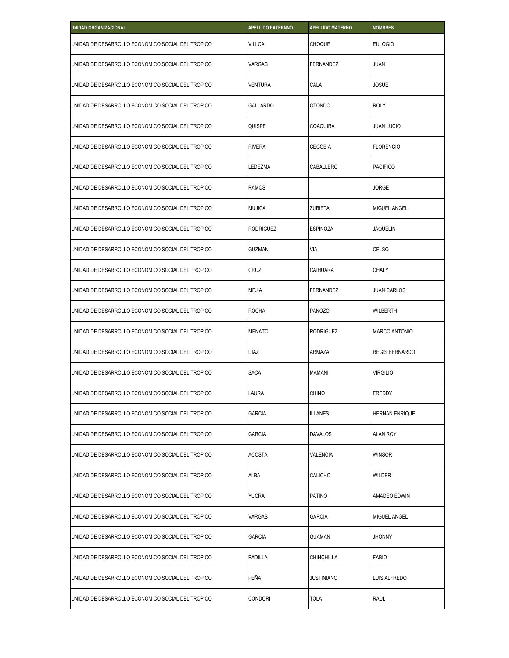| <b>UNIDAD ORGANIZACIONAL</b>                      | <b>APELLIDO PATERNNO</b> | <b>APELLIDO MATERNO</b> | <b>NOMBRES</b>        |
|---------------------------------------------------|--------------------------|-------------------------|-----------------------|
| UNIDAD DE DESARROLLO ECONOMICO SOCIAL DEL TROPICO | <b>VILLCA</b>            | CHOQUE                  | <b>EULOGIO</b>        |
| UNIDAD DE DESARROLLO ECONOMICO SOCIAL DEL TROPICO | VARGAS                   | FERNANDEZ               | JUAN                  |
| UNIDAD DE DESARROLLO ECONOMICO SOCIAL DEL TROPICO | <b>VENTURA</b>           | CALA                    | JOSUE                 |
| UNIDAD DE DESARROLLO ECONOMICO SOCIAL DEL TROPICO | GALLARDO                 | OTONDO                  | <b>ROLY</b>           |
| UNIDAD DE DESARROLLO ECONOMICO SOCIAL DEL TROPICO | QUISPE                   | <b>COAQUIRA</b>         | <b>JUAN LUCIO</b>     |
| UNIDAD DE DESARROLLO ECONOMICO SOCIAL DEL TROPICO | <b>RIVERA</b>            | CEGOBIA                 | <b>FLORENCIO</b>      |
| UNIDAD DE DESARROLLO ECONOMICO SOCIAL DEL TROPICO | LEDEZMA                  | CABALLERO               | <b>PACIFICO</b>       |
| UNIDAD DE DESARROLLO ECONOMICO SOCIAL DEL TROPICO | <b>RAMOS</b>             |                         | JORGE                 |
| UNIDAD DE DESARROLLO ECONOMICO SOCIAL DEL TROPICO | <b>MUJICA</b>            | ZUBIETA                 | <b>MIGUEL ANGEL</b>   |
| UNIDAD DE DESARROLLO ECONOMICO SOCIAL DEL TROPICO | <b>RODRIGUEZ</b>         | <b>ESPINOZA</b>         | JAQUELIN              |
| UNIDAD DE DESARROLLO ECONOMICO SOCIAL DEL TROPICO | <b>GUZMAN</b>            | VIA                     | <b>CELSO</b>          |
| UNIDAD DE DESARROLLO ECONOMICO SOCIAL DEL TROPICO | CRUZ                     | CAIHUARA                | <b>CHALY</b>          |
| UNIDAD DE DESARROLLO ECONOMICO SOCIAL DEL TROPICO | <b>MEJIA</b>             | FERNANDEZ               | <b>JUAN CARLOS</b>    |
| UNIDAD DE DESARROLLO ECONOMICO SOCIAL DEL TROPICO | <b>ROCHA</b>             | <b>PANOZO</b>           | WILBERTH              |
| UNIDAD DE DESARROLLO ECONOMICO SOCIAL DEL TROPICO | <b>MENATO</b>            | RODRIGUEZ               | <b>MARCO ANTONIO</b>  |
| UNIDAD DE DESARROLLO ECONOMICO SOCIAL DEL TROPICO | <b>DIAZ</b>              | ARMAZA                  | <b>REGIS BERNARDO</b> |
| UNIDAD DE DESARROLLO ECONOMICO SOCIAL DEL TROPICO | <b>SACA</b>              | MAMANI                  | <b>VIRGILIO</b>       |
| UNIDAD DE DESARROLLO ECONOMICO SOCIAL DEL TROPICO | LAURA                    | <b>CHINO</b>            | FREDDY                |
| UNIDAD DE DESARROLLO ECONOMICO SOCIAL DEL TROPICO | <b>GARCIA</b>            | <b>ILLANES</b>          | HERNAN ENRIQUE        |
| UNIDAD DE DESARROLLO ECONOMICO SOCIAL DEL TROPICO | GARCIA                   | DAVALOS                 | ALAN ROY              |
| UNIDAD DE DESARROLLO ECONOMICO SOCIAL DEL TROPICO | <b>ACOSTA</b>            | VALENCIA                | <b>WINSOR</b>         |
| UNIDAD DE DESARROLLO ECONOMICO SOCIAL DEL TROPICO | ALBA                     | CALICHO                 | WILDER                |
| UNIDAD DE DESARROLLO ECONOMICO SOCIAL DEL TROPICO | YUCRA                    | PATIÑO                  | AMADEO EDWIN          |
| UNIDAD DE DESARROLLO ECONOMICO SOCIAL DEL TROPICO | <b>VARGAS</b>            | <b>GARCIA</b>           | <b>MIGUEL ANGEL</b>   |
| UNIDAD DE DESARROLLO ECONOMICO SOCIAL DEL TROPICO | GARCIA                   | GUAMAN                  | Jhonny                |
| UNIDAD DE DESARROLLO ECONOMICO SOCIAL DEL TROPICO | PADILLA                  | CHINCHILLA              | <b>FABIO</b>          |
| UNIDAD DE DESARROLLO ECONOMICO SOCIAL DEL TROPICO | PEÑA                     | JUSTINIANO              | LUIS ALFREDO          |
| UNIDAD DE DESARROLLO ECONOMICO SOCIAL DEL TROPICO | <b>CONDORI</b>           | <b>TOLA</b>             | RAUL                  |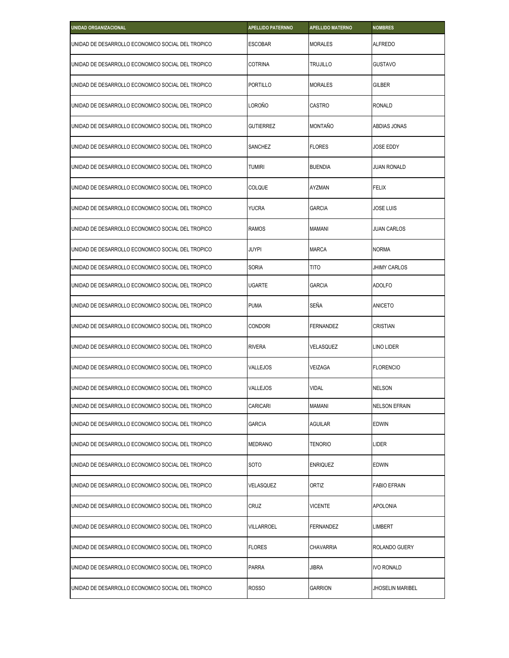| <b>UNIDAD ORGANIZACIONAL</b>                      | <b>APELLIDO PATERNNO</b> | <b>APELLIDO MATERNO</b> | <b>NOMBRES</b>       |
|---------------------------------------------------|--------------------------|-------------------------|----------------------|
| UNIDAD DE DESARROLLO ECONOMICO SOCIAL DEL TROPICO | <b>ESCOBAR</b>           | <b>MORALES</b>          | <b>ALFREDO</b>       |
| UNIDAD DE DESARROLLO ECONOMICO SOCIAL DEL TROPICO | <b>COTRINA</b>           | TRUJILLO                | <b>GUSTAVO</b>       |
| UNIDAD DE DESARROLLO ECONOMICO SOCIAL DEL TROPICO | <b>PORTILLO</b>          | <b>MORALES</b>          | GILBER               |
| UNIDAD DE DESARROLLO ECONOMICO SOCIAL DEL TROPICO | LOROÑO                   | <b>CASTRO</b>           | <b>RONALD</b>        |
| UNIDAD DE DESARROLLO ECONOMICO SOCIAL DEL TROPICO | <b>GUTIERREZ</b>         | <b>MONTAÑO</b>          | ABDIAS JONAS         |
| UNIDAD DE DESARROLLO ECONOMICO SOCIAL DEL TROPICO | SANCHEZ                  | <b>FLORES</b>           | JOSE EDDY            |
| UNIDAD DE DESARROLLO ECONOMICO SOCIAL DEL TROPICO | <b>TUMIRI</b>            | <b>BUENDIA</b>          | JUAN RONALD          |
| UNIDAD DE DESARROLLO ECONOMICO SOCIAL DEL TROPICO | <b>COLQUE</b>            | <b>AYZMAN</b>           | <b>FELIX</b>         |
| UNIDAD DE DESARROLLO ECONOMICO SOCIAL DEL TROPICO | <b>YUCRA</b>             | <b>GARCIA</b>           | JOSE LUIS            |
| UNIDAD DE DESARROLLO ECONOMICO SOCIAL DEL TROPICO | <b>RAMOS</b>             | <b>MAMANI</b>           | JUAN CARLOS          |
| UNIDAD DE DESARROLLO ECONOMICO SOCIAL DEL TROPICO | JUYPI                    | <b>MARCA</b>            | <b>NORMA</b>         |
| UNIDAD DE DESARROLLO ECONOMICO SOCIAL DEL TROPICO | <b>SORIA</b>             | <b>TITO</b>             | <b>JHIMY CARLOS</b>  |
| UNIDAD DE DESARROLLO ECONOMICO SOCIAL DEL TROPICO | <b>UGARTE</b>            | <b>GARCIA</b>           | <b>ADOLFO</b>        |
| UNIDAD DE DESARROLLO ECONOMICO SOCIAL DEL TROPICO | <b>PUMA</b>              | SEÑA                    | ANICETO              |
| UNIDAD DE DESARROLLO ECONOMICO SOCIAL DEL TROPICO | <b>CONDORI</b>           | <b>FERNANDEZ</b>        | <b>CRISTIAN</b>      |
| UNIDAD DE DESARROLLO ECONOMICO SOCIAL DEL TROPICO | <b>RIVERA</b>            | VELASQUEZ               | LINO LIDER           |
| UNIDAD DE DESARROLLO ECONOMICO SOCIAL DEL TROPICO | VALLEJOS                 | VEIZAGA                 | <b>FLORENCIO</b>     |
| UNIDAD DE DESARROLLO ECONOMICO SOCIAL DEL TROPICO | <b>VALLEJOS</b>          | <b>VIDAL</b>            | <b>NELSON</b>        |
| UNIDAD DE DESARROLLO ECONOMICO SOCIAL DEL TROPICO | CARICARI                 | MAMANI                  | <b>NELSON EFRAIN</b> |
| UNIDAD DE DESARROLLO ECONOMICO SOCIAL DEL TROPICO | <b>GARCIA</b>            | Aguilar                 | edwin                |
| UNIDAD DE DESARROLLO ECONOMICO SOCIAL DEL TROPICO | MEDRANO                  | Tenorio                 | LIDER                |
| UNIDAD DE DESARROLLO ECONOMICO SOCIAL DEL TROPICO | SOTO                     | <b>ENRIQUEZ</b>         | edwin                |
| UNIDAD DE DESARROLLO ECONOMICO SOCIAL DEL TROPICO | VELASQUEZ                | ORTIZ                   | <b>FABIO EFRAIN</b>  |
| UNIDAD DE DESARROLLO ECONOMICO SOCIAL DEL TROPICO | CRUZ                     | <b>VICENTE</b>          | APOLONIA             |
| UNIDAD DE DESARROLLO ECONOMICO SOCIAL DEL TROPICO | <b>VILLARROEL</b>        | FERNANDEZ               | LIMBERT              |
| UNIDAD DE DESARROLLO ECONOMICO SOCIAL DEL TROPICO | FLORES                   | CHAVARRIA               | ROLANDO GUERY        |
| UNIDAD DE DESARROLLO ECONOMICO SOCIAL DEL TROPICO | <b>PARRA</b>             | <b>JIBRA</b>            | IVO RONALD           |
| UNIDAD DE DESARROLLO ECONOMICO SOCIAL DEL TROPICO | <b>ROSSO</b>             | <b>GARRION</b>          | JHOSELIN MARIBEL     |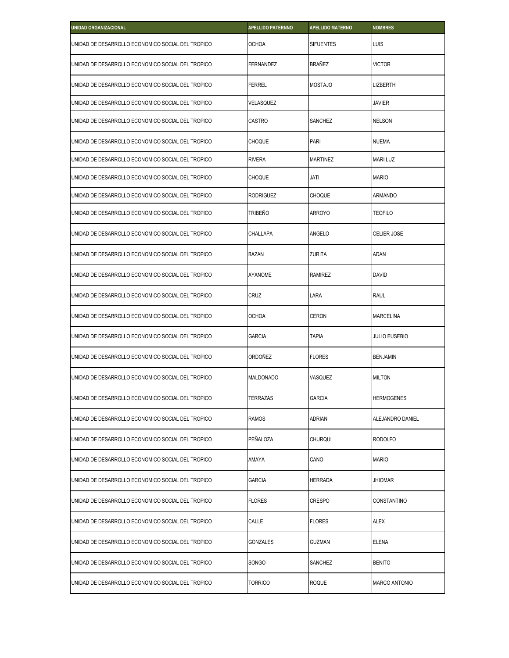| UNIDAD ORGANIZACIONAL                             | <b>APELLIDO PATERNNO</b> | <b>APELLIDO MATERNO</b> | <b>NOMBRES</b>       |
|---------------------------------------------------|--------------------------|-------------------------|----------------------|
| UNIDAD DE DESARROLLO ECONOMICO SOCIAL DEL TROPICO | <b>OCHOA</b>             | <b>SIFUENTES</b>        | LUIS                 |
| UNIDAD DE DESARROLLO ECONOMICO SOCIAL DEL TROPICO | <b>FERNANDEZ</b>         | BRAÑEZ                  | <b>VICTOR</b>        |
| UNIDAD DE DESARROLLO ECONOMICO SOCIAL DEL TROPICO | <b>FERREL</b>            | <b>MOSTAJO</b>          | lizberth             |
| UNIDAD DE DESARROLLO ECONOMICO SOCIAL DEL TROPICO | VELASQUEZ                |                         | <b>JAVIER</b>        |
| UNIDAD DE DESARROLLO ECONOMICO SOCIAL DEL TROPICO | <b>CASTRO</b>            | SANCHEZ                 | NELSON               |
| UNIDAD DE DESARROLLO ECONOMICO SOCIAL DEL TROPICO | <b>CHOQUE</b>            | PARI                    | <b>NUEMA</b>         |
| UNIDAD DE DESARROLLO ECONOMICO SOCIAL DEL TROPICO | <b>RIVERA</b>            | MARTINEZ                | <b>MARI LUZ</b>      |
| UNIDAD DE DESARROLLO ECONOMICO SOCIAL DEL TROPICO | <b>CHOQUE</b>            | JATI                    | <b>MARIO</b>         |
| UNIDAD DE DESARROLLO ECONOMICO SOCIAL DEL TROPICO | <b>RODRIGUEZ</b>         | <b>CHOQUE</b>           | ARMANDO              |
| UNIDAD DE DESARROLLO ECONOMICO SOCIAL DEL TROPICO | TRIBEÑO                  | ARROYO                  | <b>TEOFILO</b>       |
| UNIDAD DE DESARROLLO ECONOMICO SOCIAL DEL TROPICO | CHALLAPA                 | ANGELO                  | CELIER JOSE          |
| UNIDAD DE DESARROLLO ECONOMICO SOCIAL DEL TROPICO | <b>BAZAN</b>             | ZURITA                  | ADAN                 |
| UNIDAD DE DESARROLLO ECONOMICO SOCIAL DEL TROPICO | <b>AYANOME</b>           | RAMIREZ                 | <b>DAVID</b>         |
| UNIDAD DE DESARROLLO ECONOMICO SOCIAL DEL TROPICO | CRUZ                     | LARA                    | <b>RAUL</b>          |
| UNIDAD DE DESARROLLO ECONOMICO SOCIAL DEL TROPICO | <b>OCHOA</b>             | CERON                   | <b>MARCELINA</b>     |
| UNIDAD DE DESARROLLO ECONOMICO SOCIAL DEL TROPICO | <b>GARCIA</b>            | <b>TAPIA</b>            | <b>JULIO EUSEBIO</b> |
| UNIDAD DE DESARROLLO ECONOMICO SOCIAL DEL TROPICO | ORDOÑEZ                  | <b>FLORES</b>           | <b>BENJAMIN</b>      |
| UNIDAD DE DESARROLLO ECONOMICO SOCIAL DEL TROPICO | <b>MALDONADO</b>         | VASQUEZ                 | <b>MILTON</b>        |
| UNIDAD DE DESARROLLO ECONOMICO SOCIAL DEL TROPICO | TERRAZAS                 | GARCIA                  | <b>HERMOGENES</b>    |
| UNIDAD DE DESARROLLO ECONOMICO SOCIAL DEL TROPICO | <b>RAMOS</b>             | <b>ADRIAN</b>           | ALEJANDRO DANIEL     |
| UNIDAD DE DESARROLLO ECONOMICO SOCIAL DEL TROPICO | PEÑALOZA                 | <b>CHURQUI</b>          | <b>RODOLFO</b>       |
| UNIDAD DE DESARROLLO ECONOMICO SOCIAL DEL TROPICO | AMAYA                    | CANO                    | <b>MARIO</b>         |
| UNIDAD DE DESARROLLO ECONOMICO SOCIAL DEL TROPICO | <b>GARCIA</b>            | <b>HERRADA</b>          | <b>JHIOMAR</b>       |
| UNIDAD DE DESARROLLO ECONOMICO SOCIAL DEL TROPICO | <b>FLORES</b>            | CRESPO                  | CONSTANTINO          |
| UNIDAD DE DESARROLLO ECONOMICO SOCIAL DEL TROPICO | CALLE                    | <b>FLORES</b>           | <b>ALEX</b>          |
| UNIDAD DE DESARROLLO ECONOMICO SOCIAL DEL TROPICO | GONZALES                 | GUZMAN                  | <b>ELENA</b>         |
| UNIDAD DE DESARROLLO ECONOMICO SOCIAL DEL TROPICO | <b>SONGO</b>             | SANCHEZ                 | <b>BENITO</b>        |
| UNIDAD DE DESARROLLO ECONOMICO SOCIAL DEL TROPICO | <b>TORRICO</b>           | <b>ROQUE</b>            | MARCO ANTONIO        |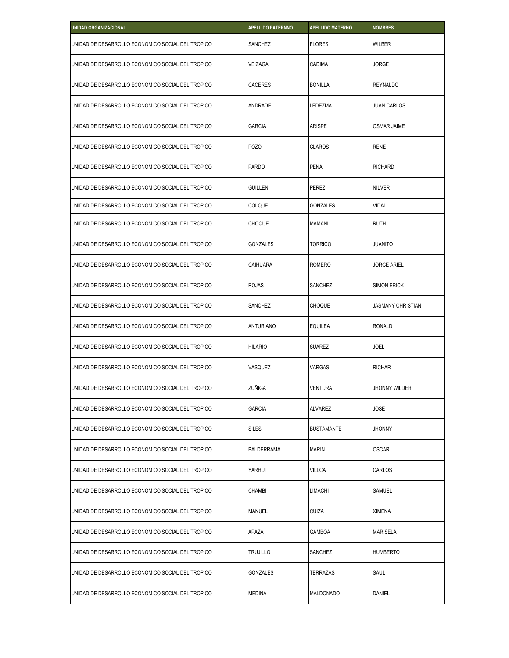| <b>UNIDAD ORGANIZACIONAL</b>                      | <b>APELLIDO PATERNNO</b> | <b>APELLIDO MATERNO</b> | <b>NOMBRES</b>     |
|---------------------------------------------------|--------------------------|-------------------------|--------------------|
| UNIDAD DE DESARROLLO ECONOMICO SOCIAL DEL TROPICO | SANCHEZ                  | <b>FLORES</b>           | Wilber             |
| UNIDAD DE DESARROLLO ECONOMICO SOCIAL DEL TROPICO | VEIZAGA                  | CADIMA                  | JORGE              |
| UNIDAD DE DESARROLLO ECONOMICO SOCIAL DEL TROPICO | <b>CACERES</b>           | <b>BONILLA</b>          | <b>REYNALDO</b>    |
| UNIDAD DE DESARROLLO ECONOMICO SOCIAL DEL TROPICO | ANDRADE                  | LEDEZMA                 | <b>JUAN CARLOS</b> |
| UNIDAD DE DESARROLLO ECONOMICO SOCIAL DEL TROPICO | <b>GARCIA</b>            | ARISPE                  | <b>OSMAR JAIME</b> |
| UNIDAD DE DESARROLLO ECONOMICO SOCIAL DEL TROPICO | <b>POZO</b>              | <b>CLAROS</b>           | <b>RENE</b>        |
| UNIDAD DE DESARROLLO ECONOMICO SOCIAL DEL TROPICO | <b>PARDO</b>             | PEÑA                    | <b>RICHARD</b>     |
| UNIDAD DE DESARROLLO ECONOMICO SOCIAL DEL TROPICO | <b>GUILLEN</b>           | <b>PEREZ</b>            | <b>NILVER</b>      |
| UNIDAD DE DESARROLLO ECONOMICO SOCIAL DEL TROPICO | <b>COLQUE</b>            | <b>GONZALES</b>         | <b>VIDAL</b>       |
| UNIDAD DE DESARROLLO ECONOMICO SOCIAL DEL TROPICO | <b>CHOQUE</b>            | MAMANI                  | <b>RUTH</b>        |
| UNIDAD DE DESARROLLO ECONOMICO SOCIAL DEL TROPICO | <b>GONZALES</b>          | <b>TORRICO</b>          | <b>JUANITO</b>     |
| UNIDAD DE DESARROLLO ECONOMICO SOCIAL DEL TROPICO | CAIHUARA                 | <b>ROMERO</b>           | JORGE ARIEL        |
| UNIDAD DE DESARROLLO ECONOMICO SOCIAL DEL TROPICO | <b>ROJAS</b>             | SANCHEZ                 | <b>SIMON ERICK</b> |
| UNIDAD DE DESARROLLO ECONOMICO SOCIAL DEL TROPICO | SANCHEZ                  | <b>CHOQUE</b>           | JASMANY CHRISTIAN  |
| UNIDAD DE DESARROLLO ECONOMICO SOCIAL DEL TROPICO | <b>ANTURIANO</b>         | EQUILEA                 | <b>RONALD</b>      |
| UNIDAD DE DESARROLLO ECONOMICO SOCIAL DEL TROPICO | <b>HILARIO</b>           | <b>SUAREZ</b>           | JOEL               |
| UNIDAD DE DESARROLLO ECONOMICO SOCIAL DEL TROPICO | VASQUEZ                  | VARGAS                  | <b>RICHAR</b>      |
| UNIDAD DE DESARROLLO ECONOMICO SOCIAL DEL TROPICO | ZUÑIGA                   | <b>VENTURA</b>          | JHONNY WILDER      |
| UNIDAD DE DESARROLLO ECONOMICO SOCIAL DEL TROPICO | <b>GARCIA</b>            | ALVAREZ                 | JOSE               |
| UNIDAD DE DESARROLLO ECONOMICO SOCIAL DEL TROPICO | <b>SILES</b>             | <b>BUSTAMANTE</b>       | Jhonny             |
| UNIDAD DE DESARROLLO ECONOMICO SOCIAL DEL TROPICO | <b>BALDERRAMA</b>        | <b>MARIN</b>            | <b>OSCAR</b>       |
| UNIDAD DE DESARROLLO ECONOMICO SOCIAL DEL TROPICO | YARHUI                   | <b>VILLCA</b>           | CARLOS             |
| UNIDAD DE DESARROLLO ECONOMICO SOCIAL DEL TROPICO | <b>CHAMBI</b>            | LIMACHI                 | SAMUEL             |
| UNIDAD DE DESARROLLO ECONOMICO SOCIAL DEL TROPICO | <b>MANUEL</b>            | <b>CUIZA</b>            | <b>XIMENA</b>      |
| UNIDAD DE DESARROLLO ECONOMICO SOCIAL DEL TROPICO | APAZA                    | GAMBOA                  | MARISELA           |
| UNIDAD DE DESARROLLO ECONOMICO SOCIAL DEL TROPICO | <b>TRUJILLO</b>          | SANCHEZ                 | <b>HUMBERTO</b>    |
| UNIDAD DE DESARROLLO ECONOMICO SOCIAL DEL TROPICO | <b>GONZALES</b>          | TERRAZAS                | SAUL               |
| UNIDAD DE DESARROLLO ECONOMICO SOCIAL DEL TROPICO | MEDINA                   | MALDONADO               | DANIEL             |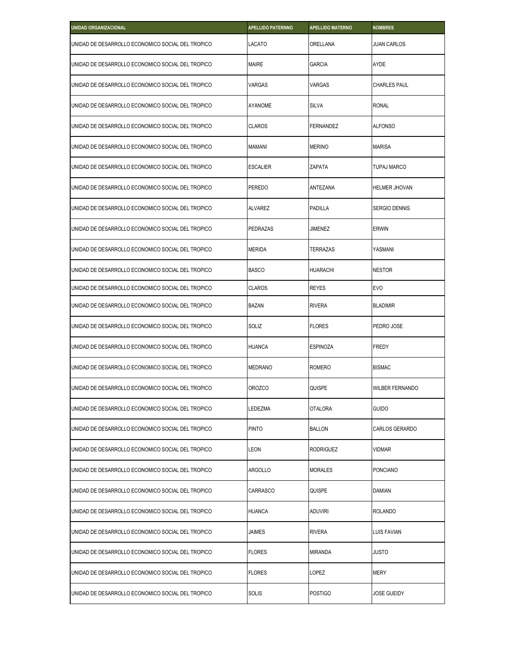| <b>UNIDAD ORGANIZACIONAL</b>                      | <b>APELLIDO PATERNNO</b> | <b>APELLIDO MATERNO</b> | <b>NOMBRES</b>         |
|---------------------------------------------------|--------------------------|-------------------------|------------------------|
| UNIDAD DE DESARROLLO ECONOMICO SOCIAL DEL TROPICO | LACATO                   | ORELLANA                | <b>JUAN CARLOS</b>     |
| UNIDAD DE DESARROLLO ECONOMICO SOCIAL DEL TROPICO | <b>MAIRE</b>             | <b>GARCIA</b>           | <b>AYDE</b>            |
| UNIDAD DE DESARROLLO ECONOMICO SOCIAL DEL TROPICO | <b>VARGAS</b>            | VARGAS                  | <b>CHARLES PAUL</b>    |
| UNIDAD DE DESARROLLO ECONOMICO SOCIAL DEL TROPICO | <b>AYANOME</b>           | <b>SILVA</b>            | <b>RONAL</b>           |
| UNIDAD DE DESARROLLO ECONOMICO SOCIAL DEL TROPICO | <b>CLAROS</b>            | <b>FERNANDEZ</b>        | <b>ALFONSO</b>         |
| UNIDAD DE DESARROLLO ECONOMICO SOCIAL DEL TROPICO | <b>MAMANI</b>            | <b>MERINO</b>           | <b>MARISA</b>          |
| UNIDAD DE DESARROLLO ECONOMICO SOCIAL DEL TROPICO | <b>ESCALIER</b>          | ZAPATA                  | <b>TUPAJ MARCO</b>     |
| UNIDAD DE DESARROLLO ECONOMICO SOCIAL DEL TROPICO | <b>PEREDO</b>            | ANTEZANA                | <b>HELMER JHOVAN</b>   |
| UNIDAD DE DESARROLLO ECONOMICO SOCIAL DEL TROPICO | <b>ALVAREZ</b>           | PADILLA                 | <b>SERGIO DENNIS</b>   |
| UNIDAD DE DESARROLLO ECONOMICO SOCIAL DEL TROPICO | PEDRAZAS                 | <b>JIMENEZ</b>          | ERWIN                  |
| UNIDAD DE DESARROLLO ECONOMICO SOCIAL DEL TROPICO | <b>MERIDA</b>            | TERRAZAS                | YASMANI                |
| UNIDAD DE DESARROLLO ECONOMICO SOCIAL DEL TROPICO | <b>BASCO</b>             | <b>HUARACHI</b>         | <b>NESTOR</b>          |
| UNIDAD DE DESARROLLO ECONOMICO SOCIAL DEL TROPICO | <b>CLAROS</b>            | <b>REYES</b>            | <b>EVO</b>             |
| UNIDAD DE DESARROLLO ECONOMICO SOCIAL DEL TROPICO | <b>BAZAN</b>             | <b>RIVERA</b>           | <b>BLADIMIR</b>        |
| UNIDAD DE DESARROLLO ECONOMICO SOCIAL DEL TROPICO | SOLIZ                    | <b>FLORES</b>           | PEDRO JOSE             |
| UNIDAD DE DESARROLLO ECONOMICO SOCIAL DEL TROPICO | <b>HUANCA</b>            | <b>ESPINOZA</b>         | <b>FREDY</b>           |
| UNIDAD DE DESARROLLO ECONOMICO SOCIAL DEL TROPICO | <b>MEDRANO</b>           | <b>ROMERO</b>           | <b>BISMAC</b>          |
| UNIDAD DE DESARROLLO ECONOMICO SOCIAL DEL TROPICO | <b>OROZCO</b>            | QUISPE                  | <b>WILBER FERNANDO</b> |
| UNIDAD DE DESARROLLO ECONOMICO SOCIAL DEL TROPICO | LEDEZMA                  | OTALORA                 | guido                  |
| UNIDAD DE DESARROLLO ECONOMICO SOCIAL DEL TROPICO | <b>PINTO</b>             | <b>BALLON</b>           | CARLOS GERARDO         |
| UNIDAD DE DESARROLLO ECONOMICO SOCIAL DEL TROPICO | LEON                     | <b>RODRIGUEZ</b>        | VIDMAR                 |
| UNIDAD DE DESARROLLO ECONOMICO SOCIAL DEL TROPICO | <b>ARGOLLO</b>           | <b>MORALES</b>          | PONCIANO               |
| UNIDAD DE DESARROLLO ECONOMICO SOCIAL DEL TROPICO | <b>CARRASCO</b>          | QUISPE                  | <b>DAMIAN</b>          |
| UNIDAD DE DESARROLLO ECONOMICO SOCIAL DEL TROPICO | <b>HUANCA</b>            | <b>ADUVIRI</b>          | <b>ROLANDO</b>         |
| UNIDAD DE DESARROLLO ECONOMICO SOCIAL DEL TROPICO | JAIMES                   | <b>RIVERA</b>           | LUIS FAVIAN            |
| UNIDAD DE DESARROLLO ECONOMICO SOCIAL DEL TROPICO | <b>FLORES</b>            | MIRANDA                 | JUSTO                  |
| UNIDAD DE DESARROLLO ECONOMICO SOCIAL DEL TROPICO | <b>FLORES</b>            | LOPEZ                   | <b>MERY</b>            |
| UNIDAD DE DESARROLLO ECONOMICO SOCIAL DEL TROPICO | <b>SOLIS</b>             | <b>POSTIGO</b>          | JOSE GUEIDY            |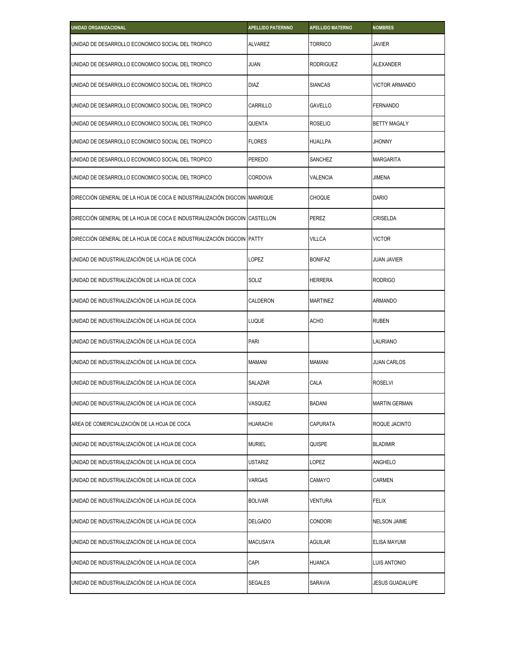| UNIDAD ORGANIZACIONAL                                                      | <b>APELLIDO PATERNNO</b> | <b>APELLIDO MATERNO</b> | <b>NOMBRES</b>        |
|----------------------------------------------------------------------------|--------------------------|-------------------------|-----------------------|
| UNIDAD DE DESARROLLO ECONOMICO SOCIAL DEL TROPICO                          | <b>ALVAREZ</b>           | <b>TORRICO</b>          | <b>JAVIER</b>         |
| UNIDAD DE DESARROLLO ECONOMICO SOCIAL DEL TROPICO                          | JUAN                     | RODRIGUEZ               | <b>ALEXANDER</b>      |
| UNIDAD DE DESARROLLO ECONOMICO SOCIAL DEL TROPICO                          | <b>DIAZ</b>              | <b>SIANCAS</b>          | <b>VICTOR ARMANDO</b> |
| UNIDAD DE DESARROLLO ECONOMICO SOCIAL DEL TROPICO                          | CARRILLO                 | GAVELLO                 | <b>FERNANDO</b>       |
| UNIDAD DE DESARROLLO ECONOMICO SOCIAL DEL TROPICO                          | QUENTA                   | <b>ROSELIO</b>          | <b>BETTY MAGALY</b>   |
| UNIDAD DE DESARROLLO ECONOMICO SOCIAL DEL TROPICO                          | <b>FLORES</b>            | <b>HUALLPA</b>          | <b>JHONNY</b>         |
| UNIDAD DE DESARROLLO ECONOMICO SOCIAL DEL TROPICO                          | PEREDO                   | SANCHEZ                 | <b>MARGARITA</b>      |
| UNIDAD DE DESARROLLO ECONOMICO SOCIAL DEL TROPICO                          | CORDOVA                  | VALENCIA                | <b>JIMENA</b>         |
| DIRECCIÓN GENERAL DE LA HOJA DE COCA E INDUSTRIALIZACIÓN DIGCOIN MANRIQUE  |                          | <b>CHOQUE</b>           | <b>DARIO</b>          |
| DIRECCIÓN GENERAL DE LA HOJA DE COCA E INDUSTRIALIZACIÓN DIGCOIN CASTELLON |                          | PEREZ                   | CRISELDA              |
| DIRECCIÓN GENERAL DE LA HOJA DE COCA E INDUSTRIALIZACIÓN DIGCOIN PATTY     |                          | <b>VILLCA</b>           | <b>VICTOR</b>         |
| UNIDAD DE INDUSTRIALIZACIÓN DE LA HOJA DE COCA                             | LOPEZ                    | <b>BONIFAZ</b>          | JUAN JAVIER           |
| UNIDAD DE INDUSTRIALIZACIÓN DE LA HOJA DE COCA                             | SOLIZ                    | HERRERA                 | <b>RODRIGO</b>        |
| UNIDAD DE INDUSTRIALIZACIÓN DE LA HOJA DE COCA                             | CALDERON                 | <b>MARTINEZ</b>         | <b>ARMANDO</b>        |
| UNIDAD DE INDUSTRIALIZACIÓN DE LA HOJA DE COCA                             | LUQUE                    | <b>ACHO</b>             | <b>RUBEN</b>          |
| UNIDAD DE INDUSTRIALIZACIÓN DE LA HOJA DE COCA                             | <b>PARI</b>              |                         | <b>LAURIANO</b>       |
| UNIDAD DE INDUSTRIALIZACIÓN DE LA HOJA DE COCA                             | <b>MAMANI</b>            | MAMANI                  | JUAN CARLOS           |
| UNIDAD DE INDUSTRIALIZACIÓN DE LA HOJA DE COCA                             | SALAZAR                  | CALA                    | <b>ROSELVI</b>        |
| UNIDAD DE INDUSTRIALIZACIÓN DE LA HOJA DE COCA                             | VASQUEZ                  | <b>BADANI</b>           | <b>MARTIN GERMAN</b>  |
| AREA DE COMERCIALIZACIÓN DE LA HOJA DE COCA                                | <b>HUARACHI</b>          | CAPURATA                | ROQUE JACINTO         |
| UNIDAD DE INDUSTRIALIZACIÓN DE LA HOJA DE COCA                             | <b>MURIEL</b>            | QUISPE                  | <b>BLADIMIR</b>       |
| UNIDAD DE INDUSTRIALIZACIÓN DE LA HOJA DE COCA                             | USTARIZ                  | LOPEZ                   | ANGHELO               |
| UNIDAD DE INDUSTRIALIZACIÓN DE LA HOJA DE COCA                             | VARGAS                   | CAMAYO                  | CARMEN                |
| UNIDAD DE INDUSTRIALIZACIÓN DE LA HOJA DE COCA                             | <b>BOLIVAR</b>           | VENTURA                 | <b>FELIX</b>          |
| UNIDAD DE INDUSTRIALIZACIÓN DE LA HOJA DE COCA                             | <b>DELGADO</b>           | CONDORI                 | <b>NELSON JAIME</b>   |
| UNIDAD DE INDUSTRIALIZACIÓN DE LA HOJA DE COCA                             | <b>MACUSAYA</b>          | AGUILAR                 | <b>ELISA MAYUMI</b>   |
| UNIDAD DE INDUSTRIALIZACIÓN DE LA HOJA DE COCA                             | CAPI                     | <b>HUANCA</b>           | <b>LUIS ANTONIO</b>   |
| UNIDAD DE INDUSTRIALIZACIÓN DE LA HOJA DE COCA                             | SEGALES                  | Saravia                 | JESUS GUADALUPE       |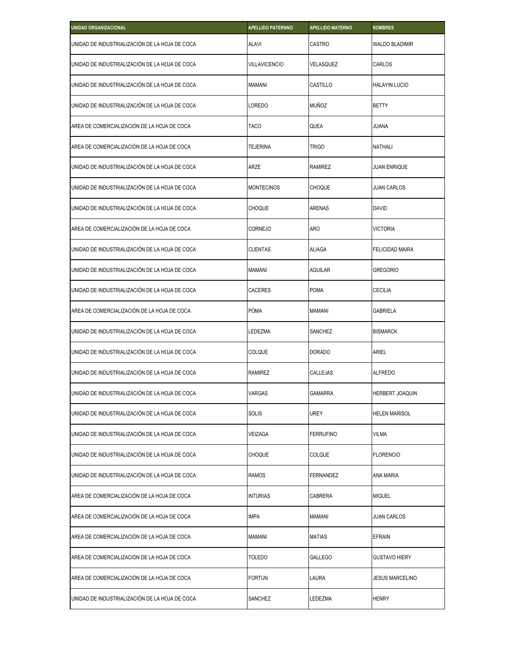| <b>UNIDAD ORGANIZACIONAL</b>                   | <b>APELLIDO PATERNNO</b> | <b>APELLIDO MATERNO</b> | <b>NOMBRES</b>         |
|------------------------------------------------|--------------------------|-------------------------|------------------------|
| UNIDAD DE INDUSTRIALIZACIÓN DE LA HOJA DE COCA | <b>ALAVI</b>             | CASTRO                  | WALDO BLADIMIR         |
| UNIDAD DE INDUSTRIALIZACIÓN DE LA HOJA DE COCA | <b>VILLAVICENCIO</b>     | VELASQUEZ               | CARLOS                 |
| UNIDAD DE INDUSTRIALIZACIÓN DE LA HOJA DE COCA | <b>MAMANI</b>            | CASTILLO                | HALAYIN LUCIO          |
| UNIDAD DE INDUSTRIALIZACIÓN DE LA HOJA DE COCA | LOREDO                   | <b>MUÑOZ</b>            | BETTY                  |
| AREA DE COMERCIALIZACIÓN DE LA HOJA DE COCA    | <b>TACO</b>              | QUEA                    | JUANA                  |
| AREA DE COMERCIALIZACIÓN DE LA HOJA DE COCA    | <b>TEJERINA</b>          | <b>TRIGO</b>            | NATHALI                |
| UNIDAD DE INDUSTRIALIZACIÓN DE LA HOJA DE COCA | ARZE                     | <b>RAMIREZ</b>          | JUAN ENRIQUE           |
| UNIDAD DE INDUSTRIALIZACIÓN DE LA HOJA DE COCA | <b>MONTECINOS</b>        | <b>CHOQUE</b>           | JUAN CARLOS            |
| UNIDAD DE INDUSTRIALIZACIÓN DE LA HOJA DE COCA | <b>CHOQUE</b>            | ARENAS                  | DAVID                  |
| AREA DE COMERCIALIZACIÓN DE LA HOJA DE COCA    | CORNEJO                  | aro                     | <b>VICTORIA</b>        |
| UNIDAD DE INDUSTRIALIZACIÓN DE LA HOJA DE COCA | <b>CUENTAS</b>           | <b>ALIAGA</b>           | FELICIDAD MAIRA        |
| UNIDAD DE INDUSTRIALIZACIÓN DE LA HOJA DE COCA | <b>MAMANI</b>            | <b>AGUILAR</b>          | Gregorio               |
| UNIDAD DE INDUSTRIALIZACIÓN DE LA HOJA DE COCA | <b>CACERES</b>           | <b>POMA</b>             | CECILIA                |
| AREA DE COMERCIALIZACIÓN DE LA HOJA DE COCA    | <b>POMA</b>              | <b>MAMANI</b>           | GABRIELA               |
| UNIDAD DE INDUSTRIALIZACIÓN DE LA HOJA DE COCA | LEDEZMA                  | SANCHEZ                 | <b>BISMARCK</b>        |
| UNIDAD DE INDUSTRIALIZACIÓN DE LA HOJA DE COCA | COLQUE                   | <b>DORADO</b>           | ARIEL                  |
| UNIDAD DE INDUSTRIALIZACIÓN DE LA HOJA DE COCA | <b>RAMIREZ</b>           | CALLEJAS                | <b>ALFREDO</b>         |
| UNIDAD DE INDUSTRIALIZACIÓN DE LA HOJA DE COCA | <b>VARGAS</b>            | <b>GAMARRA</b>          | <b>HERBERT JOAQUIN</b> |
| UNIDAD DE INDUSTRIALIZACIÓN DE LA HOJA DE COCA | SOLIS                    | UREY                    | HELEN MARISOL          |
| UNIDAD DE INDUSTRIALIZACIÓN DE LA HOJA DE COCA | VEIZAGA                  | <b>FERRUFINO</b>        | VILMA                  |
| UNIDAD DE INDUSTRIALIZACIÓN DE LA HOJA DE COCA | <b>CHOQUE</b>            | <b>COLQUE</b>           | <b>FLORENCIO</b>       |
| UNIDAD DE INDUSTRIALIZACIÓN DE LA HOJA DE COCA | <b>RAMOS</b>             | FERNANDEZ               | ANA MARIA              |
| AREA DE COMERCIALIZACIÓN DE LA HOJA DE COCA    | <b>INTURIAS</b>          | CABRERA                 | <b>MIGUEL</b>          |
| AREA DE COMERCIALIZACIÓN DE LA HOJA DE COCA    | IMPA                     | MAMANI                  | JUAN CARLOS            |
| AREA DE COMERCIALIZACIÓN DE LA HOJA DE COCA    | <b>MAMANI</b>            | <b>MATIAS</b>           | EFRAIN                 |
| AREA DE COMERCIALIZACIÓN DE LA HOJA DE COCA    | TOLEDO                   | GALLEGO                 | GUSTAVO HIERY          |
| AREA DE COMERCIALIZACIÓN DE LA HOJA DE COCA    | <b>FORTUN</b>            | LAURA                   | <b>JESUS MARCELINO</b> |
| UNIDAD DE INDUSTRIALIZACIÓN DE LA HOJA DE COCA | SANCHEZ                  | LEDEZMA                 | Henry                  |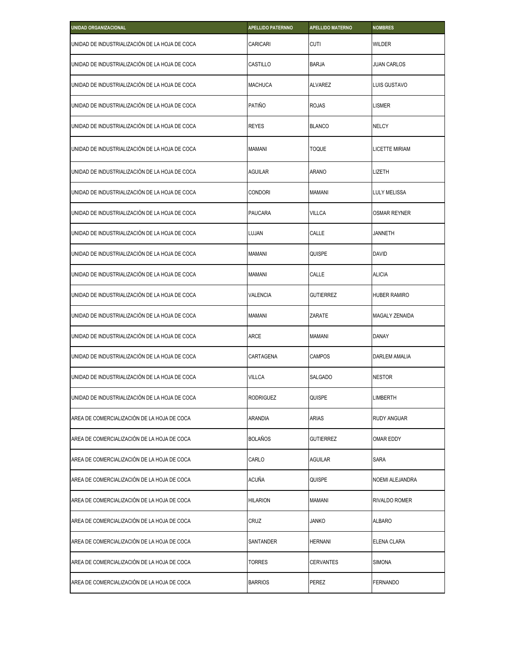| <b>UNIDAD ORGANIZACIONAL</b>                   | <b>APELLIDO PATERNNO</b> | <b>APELLIDO MATERNO</b> | <b>NOMBRES</b>       |
|------------------------------------------------|--------------------------|-------------------------|----------------------|
| UNIDAD DE INDUSTRIALIZACIÓN DE LA HOJA DE COCA | CARICARI                 | <b>CUTI</b>             | <b>WILDER</b>        |
| UNIDAD DE INDUSTRIALIZACIÓN DE LA HOJA DE COCA | CASTILLO                 | <b>BARJA</b>            | <b>JUAN CARLOS</b>   |
| UNIDAD DE INDUSTRIALIZACIÓN DE LA HOJA DE COCA | <b>MACHUCA</b>           | <b>ALVAREZ</b>          | LUIS GUSTAVO         |
| UNIDAD DE INDUSTRIALIZACIÓN DE LA HOJA DE COCA | PATIÑO                   | <b>ROJAS</b>            | LISMER               |
| UNIDAD DE INDUSTRIALIZACIÓN DE LA HOJA DE COCA | <b>REYES</b>             | <b>BLANCO</b>           | <b>NELCY</b>         |
| UNIDAD DE INDUSTRIALIZACIÓN DE LA HOJA DE COCA | MAMANI                   | <b>TOQUE</b>            | LICETTE MIRIAM       |
| UNIDAD DE INDUSTRIALIZACIÓN DE LA HOJA DE COCA | <b>AGUILAR</b>           | <b>ARANO</b>            | LIZETH               |
| UNIDAD DE INDUSTRIALIZACIÓN DE LA HOJA DE COCA | <b>CONDORI</b>           | <b>MAMANI</b>           | LULY MELISSA         |
| UNIDAD DE INDUSTRIALIZACIÓN DE LA HOJA DE COCA | <b>PAUCARA</b>           | <b>VILLCA</b>           | <b>OSMAR REYNER</b>  |
| UNIDAD DE INDUSTRIALIZACIÓN DE LA HOJA DE COCA | LUJAN                    | CALLE                   | <b>JANNETH</b>       |
| UNIDAD DE INDUSTRIALIZACIÓN DE LA HOJA DE COCA | <b>MAMANI</b>            | QUISPE                  | <b>DAVID</b>         |
| UNIDAD DE INDUSTRIALIZACIÓN DE LA HOJA DE COCA | <b>MAMANI</b>            | CALLE                   | <b>ALICIA</b>        |
| UNIDAD DE INDUSTRIALIZACIÓN DE LA HOJA DE COCA | <b>VALENCIA</b>          | <b>GUTIERREZ</b>        | <b>HUBER RAMIRO</b>  |
| UNIDAD DE INDUSTRIALIZACIÓN DE LA HOJA DE COCA | <b>MAMANI</b>            | ZARATE                  | MAGALY ZENAIDA       |
| UNIDAD DE INDUSTRIALIZACIÓN DE LA HOJA DE COCA | <b>ARCE</b>              | <b>MAMANI</b>           | <b>DANAY</b>         |
| UNIDAD DE INDUSTRIALIZACIÓN DE LA HOJA DE COCA | CARTAGENA                | <b>CAMPOS</b>           | <b>DARLEM AMALIA</b> |
| UNIDAD DE INDUSTRIALIZACIÓN DE LA HOJA DE COCA | <b>VILLCA</b>            | SALGADO                 | <b>NESTOR</b>        |
| UNIDAD DE INDUSTRIALIZACIÓN DE LA HOJA DE COCA | <b>RODRIGUEZ</b>         | QUISPE                  | LIMBERTH             |
| AREA DE COMERCIALIZACIÓN DE LA HOJA DE COCA    | <b>ARANDIA</b>           | <b>ARIAS</b>            | RUDY ANGUAR          |
| AREA DE COMERCIALIZACIÓN DE LA HOJA DE COCA    | <b>BOLAÑOS</b>           | <b>GUTIERREZ</b>        | OMAR EDDY            |
| AREA DE COMERCIALIZACIÓN DE LA HOJA DE COCA    | CARLO                    | <b>AGUILAR</b>          | <b>SARA</b>          |
| AREA DE COMERCIALIZACIÓN DE LA HOJA DE COCA    | ACUÑA                    | QUISPE                  | NOEMI ALEJANDRA      |
| AREA DE COMERCIALIZACIÓN DE LA HOJA DE COCA    | <b>HILARION</b>          | <b>MAMANI</b>           | RIVALDO ROMER        |
| AREA DE COMERCIALIZACIÓN DE LA HOJA DE COCA    | CRUZ                     | <b>JANKO</b>            | ALBARO               |
| AREA DE COMERCIALIZACIÓN DE LA HOJA DE COCA    | SANTANDER                | <b>HERNANI</b>          | ELENA CLARA          |
| AREA DE COMERCIALIZACIÓN DE LA HOJA DE COCA    | TORRES                   | <b>CERVANTES</b>        | <b>SIMONA</b>        |
| AREA DE COMERCIALIZACIÓN DE LA HOJA DE COCA    | <b>BARRIOS</b>           | PEREZ                   | FERNANDO             |